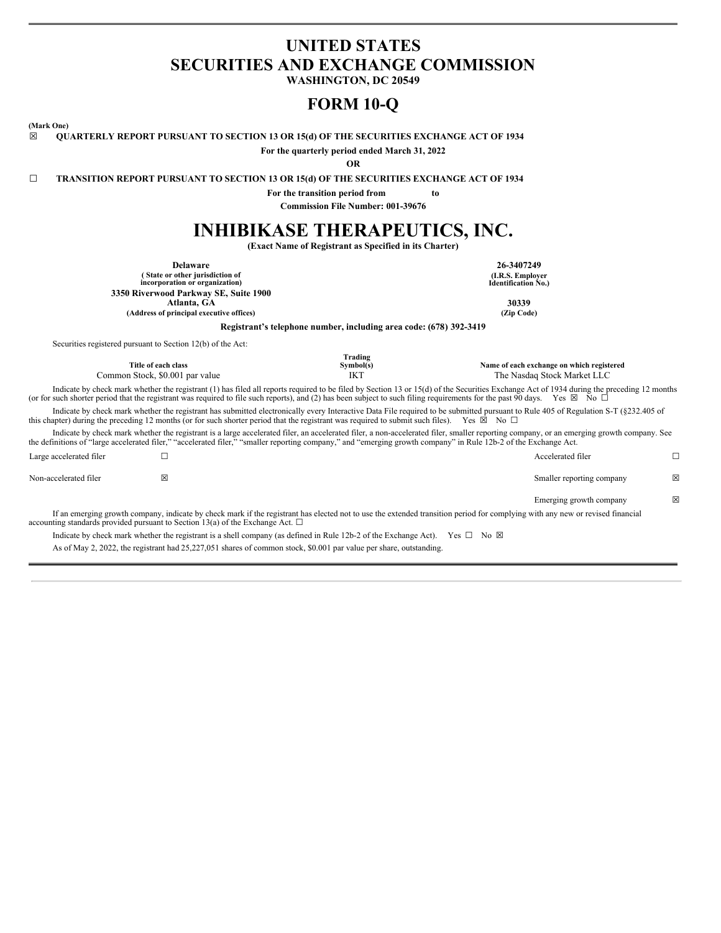# **UNITED STATES SECURITIES AND EXCHANGE COMMISSION**

**WASHINGTON, DC 20549**

# **FORM 10-Q**

**(Mark One)**

**☒ QUARTERLY REPORT PURSUANT TO SECTION 13 OR 15(d) OF THE SECURITIES EXCHANGE ACT OF 1934**

**For the quarterly period ended March 31, 2022**

**OR**

**☐ TRANSITION REPORT PURSUANT TO SECTION 13 OR 15(d) OF THE SECURITIES EXCHANGE ACT OF 1934**

**For the transition period from to**

**Commission File Number: 001-39676**

# **INHIBIKASE THERAPEUTICS, INC.**

**(Exact Name of Registrant as Specified in its Charter)**

**Delaware 26-3407249 ( State or other jurisdiction of incorporation or organization) (I.R.S. Employer Identification No.) 3350 Riverwood Parkway SE, Suite 1900 Atlanta, GA 30339 (Address of principal executive offices) (Zip Code) Registrant's telephone number, including area code: (678) 392-3419** Securities registered pursuant to Section 12(b) of the Act: **Title of each class Trading Symbol(s)**<br>**Symbol(s)**<br>**Symbol(s)**<br>**Symbol(s)**<br>**Symbol(s)**<br>**Symbol(s)**<br>**Symbol(s)**<br>**Symbol(s)**<br>**Symbol(s)**<br>**Symbol(s)**<br>**Symbol(s)**<br>**Symbol(s)**<br>**Symbol(s)** Common Stock, \$0.001 par value  $I\left(1\right)$  IKT The Nasdaq Stock Market LLC Indicate by check mark whether the registrant (1) has filed all reports required to be filed by Section 13 or 15(d) of the Securities Exchange Act of 1934 during the preceding 12 months (or for such shorter period that the registrant was required to file such reports), and (2) has been subject to such filing requirements for the past 90 days. Yes  $\boxtimes$  No  $\Box$ Indicate by check mark whether the registrant has submitted electronically every Interactive Data File required to be submitted pursuant to Rule 405 of Regulation S-T (§232.405 of this chapter) during the preceding 12 months (or for such shorter period that the registrant was required to submit such files). Yes  $\boxtimes$  No  $\Box$ Indicate by check mark whether the registrant is a large accelerated filer, an accelerated filer, a non-accelerated filer, smaller reporting company, or an emerging growth company. See the definitions of "large accelerated filer," "accelerated filer," "smaller reporting company," and "emerging growth company" in Rule 12b-2 of the Exchange Act. Large accelerated filer ☐ Accelerated filer ☐ Non-accelerated filer <br>
⊠ ⊠ Smaller reporting company ⊠ Emerging growth company  $\boxtimes$ If an emerging growth company, indicate by check mark if the registrant has elected not to use the extended transition period for complying with any new or revised financial accounting standards provided pursuant to Section 13(a) of the Exchange Act.  $\Box$ Indicate by check mark whether the registrant is a shell company (as defined in Rule 12b-2 of the Exchange Act). Yes  $\Box$  No  $\boxtimes$ 

As of May 2, 2022, the registrant had 25,227,051 shares of common stock, \$0.001 par value per share, outstanding.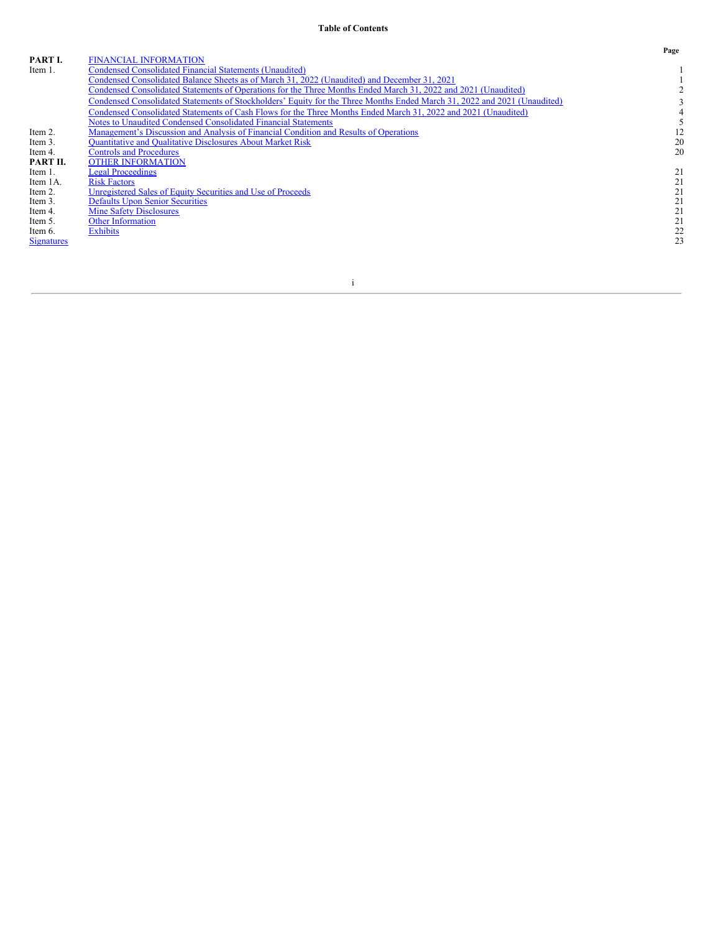## **Table of Contents**

| PART I.    | <b>FINANCIAL INFORMATION</b>                                                                                             | 1 agu |
|------------|--------------------------------------------------------------------------------------------------------------------------|-------|
| Item 1.    | <b>Condensed Consolidated Financial Statements (Unaudited)</b>                                                           |       |
|            | Condensed Consolidated Balance Sheets as of March 31, 2022 (Unaudited) and December 31, 2021                             |       |
|            | Condensed Consolidated Statements of Operations for the Three Months Ended March 31, 2022 and 2021 (Unaudited)           |       |
|            |                                                                                                                          |       |
|            | Condensed Consolidated Statements of Stockholders' Equity for the Three Months Ended March 31, 2022 and 2021 (Unaudited) |       |
|            | Condensed Consolidated Statements of Cash Flows for the Three Months Ended March 31, 2022 and 2021 (Unaudited)           |       |
|            | <b>Notes to Unaudited Condensed Consolidated Financial Statements</b>                                                    |       |
| Item 2.    | Management's Discussion and Analysis of Financial Condition and Results of Operations                                    | 12    |
| Item 3.    | <b>Quantitative and Qualitative Disclosures About Market Risk</b>                                                        | 20    |
| Item 4.    | <b>Controls and Procedures</b>                                                                                           | 20    |
| PART II.   | <b>OTHER INFORMATION</b>                                                                                                 |       |
| Item 1.    | <b>Legal Proceedings</b>                                                                                                 | 21    |
| Item 1A.   | <b>Risk Factors</b>                                                                                                      | 21    |
| Item 2.    | Unregistered Sales of Equity Securities and Use of Proceeds                                                              | 21    |
| Item 3.    | <b>Defaults Upon Senior Securities</b>                                                                                   | 21    |
| Item 4.    | <b>Mine Safety Disclosures</b>                                                                                           | 21    |
| Item 5.    | <b>Other Information</b>                                                                                                 | 21    |
| Item 6.    | <b>Exhibits</b>                                                                                                          | 22    |
| Signatures |                                                                                                                          | 23    |
|            |                                                                                                                          |       |
|            |                                                                                                                          |       |

i

# **Page**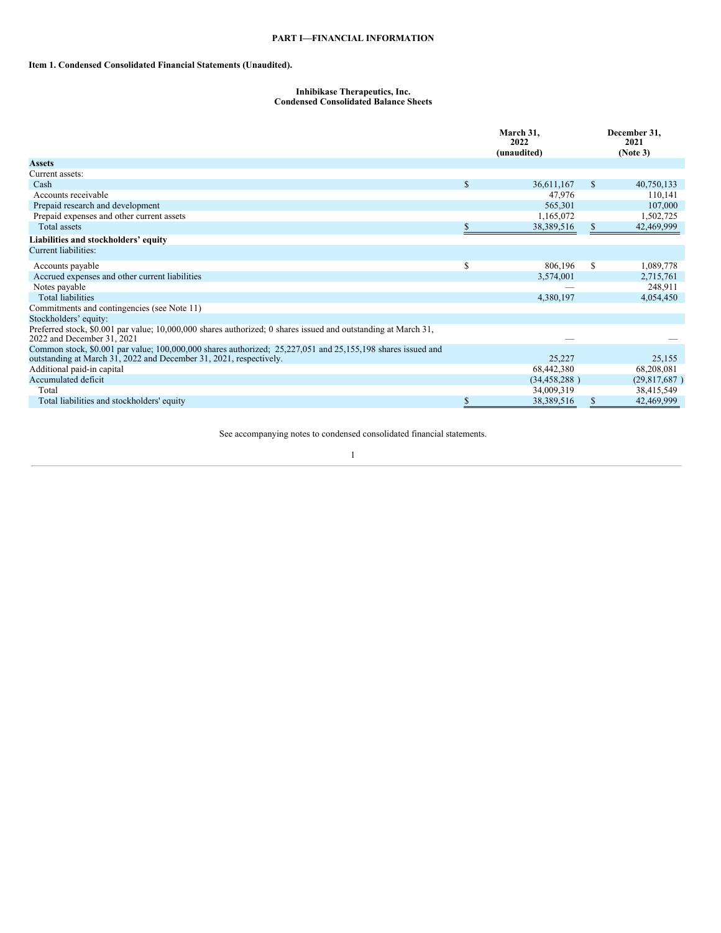# <span id="page-2-1"></span><span id="page-2-0"></span>**Item 1. Condensed Consolidated Financial Statements (Unaudited).**

#### **Inhibikase Therapeutics, Inc. Condensed Consolidated Balance Sheets**

<span id="page-2-2"></span>

|                                                                                                                                                                                   |              | March 31,<br>2022<br>(unaudited) |               | December 31,<br>2021<br>(Note 3) |
|-----------------------------------------------------------------------------------------------------------------------------------------------------------------------------------|--------------|----------------------------------|---------------|----------------------------------|
| <b>Assets</b>                                                                                                                                                                     |              |                                  |               |                                  |
| Current assets:                                                                                                                                                                   |              |                                  |               |                                  |
| Cash                                                                                                                                                                              | $\mathbf{s}$ | 36,611,167                       | <sup>\$</sup> | 40,750,133                       |
| Accounts receivable                                                                                                                                                               |              | 47,976                           |               | 110,141                          |
| Prepaid research and development                                                                                                                                                  |              | 565,301                          |               | 107,000                          |
| Prepaid expenses and other current assets                                                                                                                                         |              | 1,165,072                        |               | 1,502,725                        |
| Total assets                                                                                                                                                                      |              | 38, 389, 516                     |               | 42,469,999                       |
| Liabilities and stockholders' equity                                                                                                                                              |              |                                  |               |                                  |
| Current liabilities:                                                                                                                                                              |              |                                  |               |                                  |
| Accounts payable                                                                                                                                                                  | \$           | 806,196                          | \$            | 1,089,778                        |
| Accrued expenses and other current liabilities                                                                                                                                    |              | 3,574,001                        |               | 2,715,761                        |
| Notes payable                                                                                                                                                                     |              |                                  |               | 248,911                          |
| <b>Total liabilities</b>                                                                                                                                                          |              | 4,380,197                        |               | 4,054,450                        |
| Commitments and contingencies (see Note 11)                                                                                                                                       |              |                                  |               |                                  |
| Stockholders' equity:                                                                                                                                                             |              |                                  |               |                                  |
| Preferred stock, \$0.001 par value; 10,000,000 shares authorized; 0 shares issued and outstanding at March 31,<br>2022 and December 31, 2021                                      |              |                                  |               |                                  |
| Common stock, \$0.001 par value; 100,000,000 shares authorized; 25,227,051 and 25,155,198 shares issued and<br>outstanding at March 31, 2022 and December 31, 2021, respectively. |              | 25,227                           |               | 25,155                           |
| Additional paid-in capital                                                                                                                                                        |              | 68,442,380                       |               | 68,208,081                       |
| Accumulated deficit                                                                                                                                                               |              | (34, 458, 288)                   |               | (29,817,687)                     |
| Total                                                                                                                                                                             |              | 34,009,319                       |               | 38,415,549                       |
| Total liabilities and stockholders' equity                                                                                                                                        | S            | 38, 389, 516                     | \$            | 42,469,999                       |

See accompanying notes to condensed consolidated financial statements.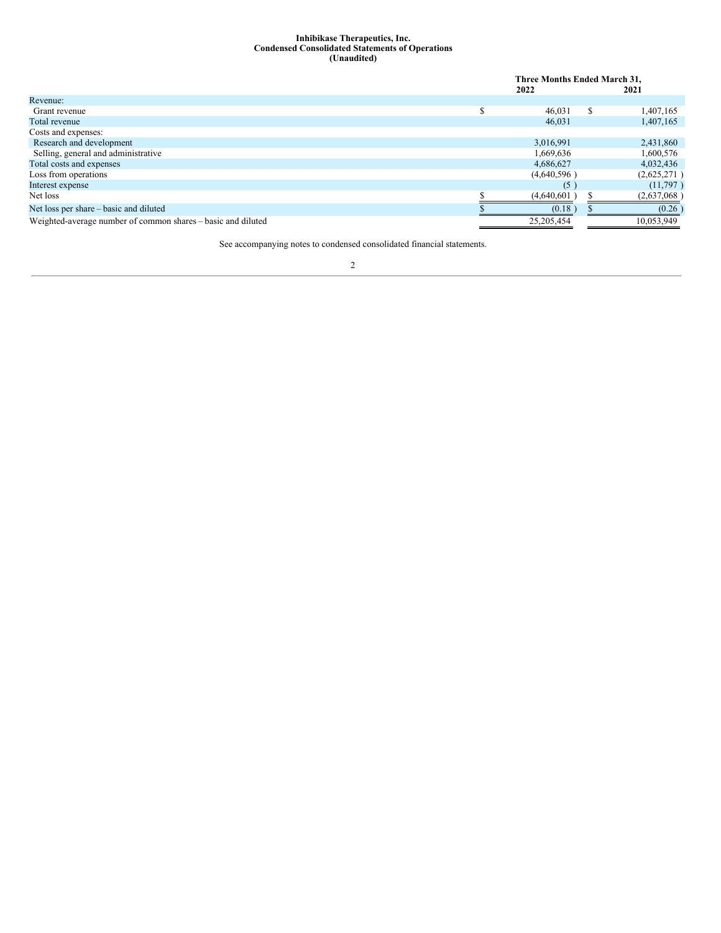#### **Inhibikase Therapeutics, Inc. Condensed Consolidated Statements of Operations (Unaudited)**

<span id="page-3-0"></span>

|                                                              |   | Three Months Ended March 31.<br>2022 | 2021 |             |  |
|--------------------------------------------------------------|---|--------------------------------------|------|-------------|--|
| Revenue:                                                     |   |                                      |      |             |  |
| Grant revenue                                                | ¢ | 46,031                               | S    | 1,407,165   |  |
| Total revenue                                                |   | 46,031                               |      | 1,407,165   |  |
| Costs and expenses:                                          |   |                                      |      |             |  |
| Research and development                                     |   | 3,016,991                            |      | 2,431,860   |  |
| Selling, general and administrative                          |   | 1,669,636                            |      | 1,600,576   |  |
| Total costs and expenses                                     |   | 4,686,627                            |      | 4,032,436   |  |
| Loss from operations                                         |   | (4,640,596)                          |      | (2,625,271) |  |
| Interest expense                                             |   | (5)                                  |      | (11,797)    |  |
| Net loss                                                     |   | (4,640,601)                          |      | (2,637,068) |  |
| Net loss per share – basic and diluted                       |   | (0.18)                               |      | (0.26)      |  |
| Weighted-average number of common shares – basic and diluted |   | 25,205,454                           |      | 10,053,949  |  |

See accompanying notes to condensed consolidated financial statements.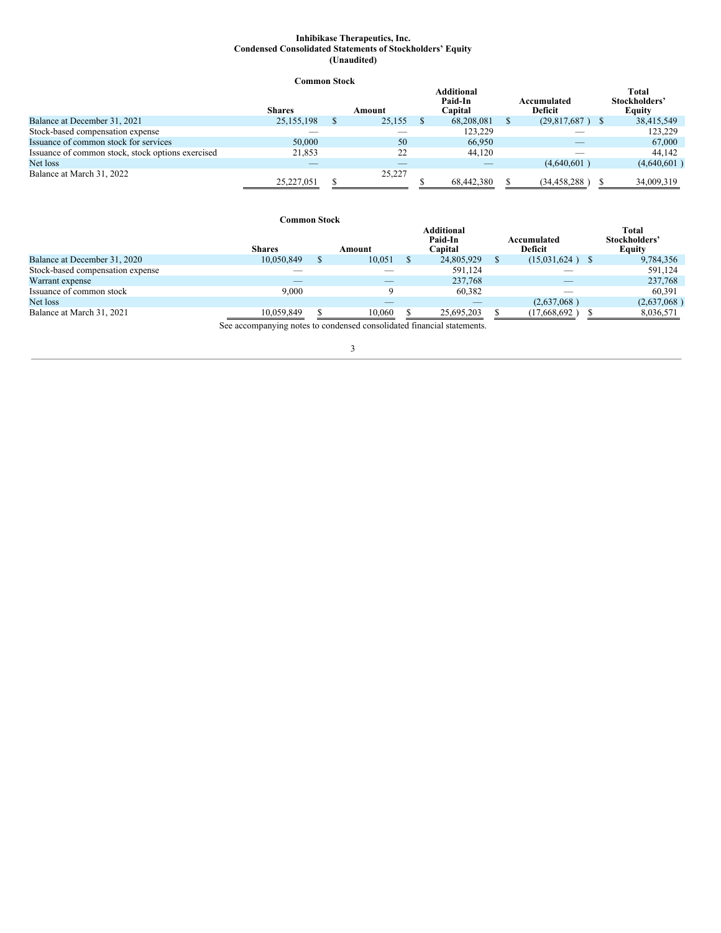## **Inhibikase Therapeutics, Inc. Condensed Consolidated Statements of Stockholders' Equity (Unaudited)**

<span id="page-4-0"></span>

|                                                   | Common Stock  |                          |     |                                         |                          |                                  |
|---------------------------------------------------|---------------|--------------------------|-----|-----------------------------------------|--------------------------|----------------------------------|
|                                                   | <b>Shares</b> | Amount                   |     | <b>Additional</b><br>Paid-In<br>Capital | Accumulated<br>Deficit   | Total<br>Stockholders'<br>Equity |
| Balance at December 31, 2021                      | 25, 155, 198  | 25,155                   | ∖ S | 68,208,081                              | (29,817,687)             | 38,415,549                       |
| Stock-based compensation expense                  |               | $\overline{\phantom{a}}$ |     | 123,229                                 |                          | 123,229                          |
| Issuance of common stock for services             | 50,000        | 50                       |     | 66,950                                  | $\overline{\phantom{a}}$ | 67,000                           |
| Issuance of common stock, stock options exercised | 21,853        | 22                       |     | 44.120                                  |                          | 44.142                           |
| Net loss                                          |               | _                        |     |                                         | (4,640,601)              | (4,640,601)                      |
| Balance at March 31, 2022                         | 25.227.051    | 25,227                   |     | 68,442,380                              | (34.458.288)             | 34,009.319                       |

|                                                                        | Common Stock-            |  |                          |  |                                         |  |                          |   |                                  |
|------------------------------------------------------------------------|--------------------------|--|--------------------------|--|-----------------------------------------|--|--------------------------|---|----------------------------------|
|                                                                        | <b>Shares</b>            |  | Amount                   |  | <b>Additional</b><br>Paid-In<br>Capital |  | Accumulated<br>Deficit   |   | Total<br>Stockholders'<br>Equity |
| Balance at December 31, 2020                                           | 10.050.849               |  | 10,051                   |  | 24,805,929                              |  | (15,031,624)             | S | 9,784,356                        |
| Stock-based compensation expense                                       |                          |  |                          |  | 591,124                                 |  |                          |   | 591,124                          |
| Warrant expense                                                        | $\overline{\phantom{a}}$ |  | $\overline{\phantom{a}}$ |  | 237,768                                 |  | $\overline{\phantom{a}}$ |   | 237,768                          |
| Issuance of common stock                                               | 9.000                    |  |                          |  | 60.382                                  |  | _                        |   | 60.391                           |
| Net loss                                                               |                          |  |                          |  |                                         |  | (2,637,068)              |   | (2,637,068)                      |
| Balance at March 31, 2021                                              | 10.059.849               |  | 10.060                   |  | 25,695,203                              |  | (17,668,692)             |   | 8,036,571                        |
| See accompanying notes to condensed consolidated financial statements. |                          |  |                          |  |                                         |  |                          |   |                                  |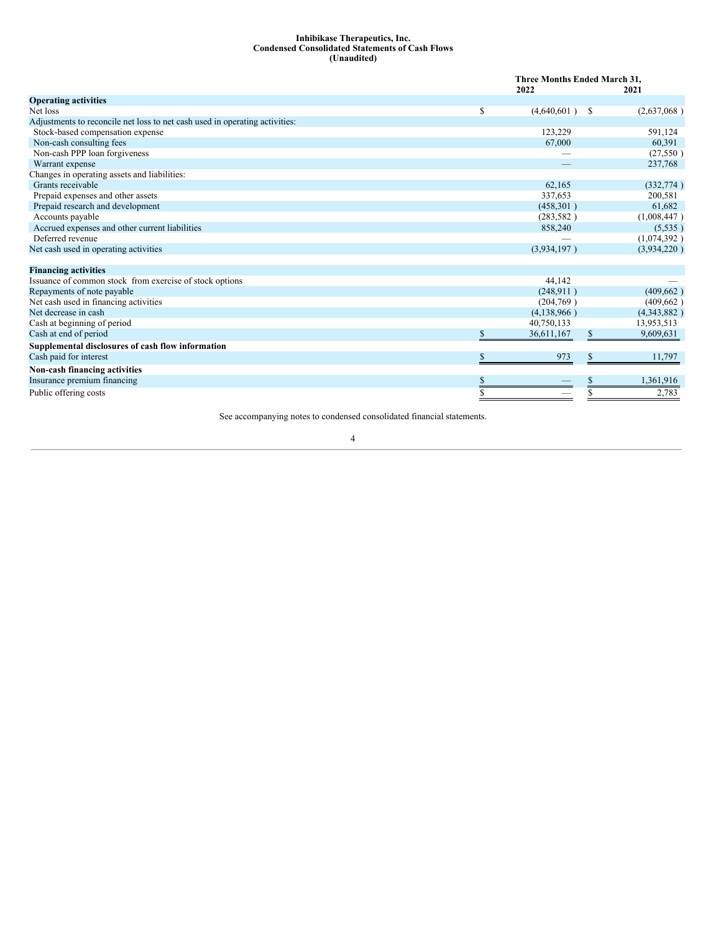#### **Inhibikase Therapeutics, Inc. Condensed Consolidated Statements of Cash Flows (Unaudited)**

<span id="page-5-0"></span>

|                                                                             |   | Three Months Ended March 31.<br>2022 |    | 2021        |  |  |
|-----------------------------------------------------------------------------|---|--------------------------------------|----|-------------|--|--|
| <b>Operating activities</b>                                                 |   |                                      |    |             |  |  |
| Net loss                                                                    | S | (4,640,601)                          | -S | (2,637,068) |  |  |
| Adjustments to reconcile net loss to net cash used in operating activities: |   |                                      |    |             |  |  |
| Stock-based compensation expense                                            |   | 123,229                              |    | 591,124     |  |  |
| Non-cash consulting fees                                                    |   | 67.000                               |    | 60,391      |  |  |
| Non-cash PPP loan forgiveness                                               |   |                                      |    | (27, 550)   |  |  |
| Warrant expense                                                             |   |                                      |    | 237,768     |  |  |
| Changes in operating assets and liabilities:                                |   |                                      |    |             |  |  |
| Grants receivable                                                           |   | 62,165                               |    | (332,774)   |  |  |
| Prepaid expenses and other assets                                           |   | 337,653                              |    | 200,581     |  |  |
| Prepaid research and development                                            |   | (458, 301)                           |    | 61,682      |  |  |
| Accounts payable                                                            |   | (283, 582)                           |    | (1,008,447) |  |  |
| Accrued expenses and other current liabilities                              |   | 858,240                              |    | (5, 535)    |  |  |
| Deferred revenue                                                            |   |                                      |    | (1,074,392) |  |  |
| Net cash used in operating activities                                       |   | (3,934,197)                          |    | (3,934,220) |  |  |
|                                                                             |   |                                      |    |             |  |  |
| <b>Financing activities</b>                                                 |   |                                      |    |             |  |  |
| Issuance of common stock from exercise of stock options                     |   | 44,142                               |    |             |  |  |
| Repayments of note payable                                                  |   | (248, 911)                           |    | (409, 662)  |  |  |
| Net cash used in financing activities                                       |   | (204,769)                            |    | (409, 662)  |  |  |
| Net decrease in cash                                                        |   | (4,138,966)                          |    | (4,343,882) |  |  |
| Cash at beginning of period                                                 |   | 40,750,133                           |    | 13,953,513  |  |  |
| Cash at end of period                                                       | S | 36,611,167                           | \$ | 9,609,631   |  |  |
| Supplemental disclosures of cash flow information                           |   |                                      |    |             |  |  |
| Cash paid for interest                                                      |   | 973                                  | \$ | 11,797      |  |  |
| Non-cash financing activities                                               |   |                                      |    |             |  |  |
| Insurance premium financing                                                 | S |                                      | S  | 1,361,916   |  |  |
| Public offering costs                                                       |   |                                      |    | 2,783       |  |  |

See accompanying notes to condensed consolidated financial statements.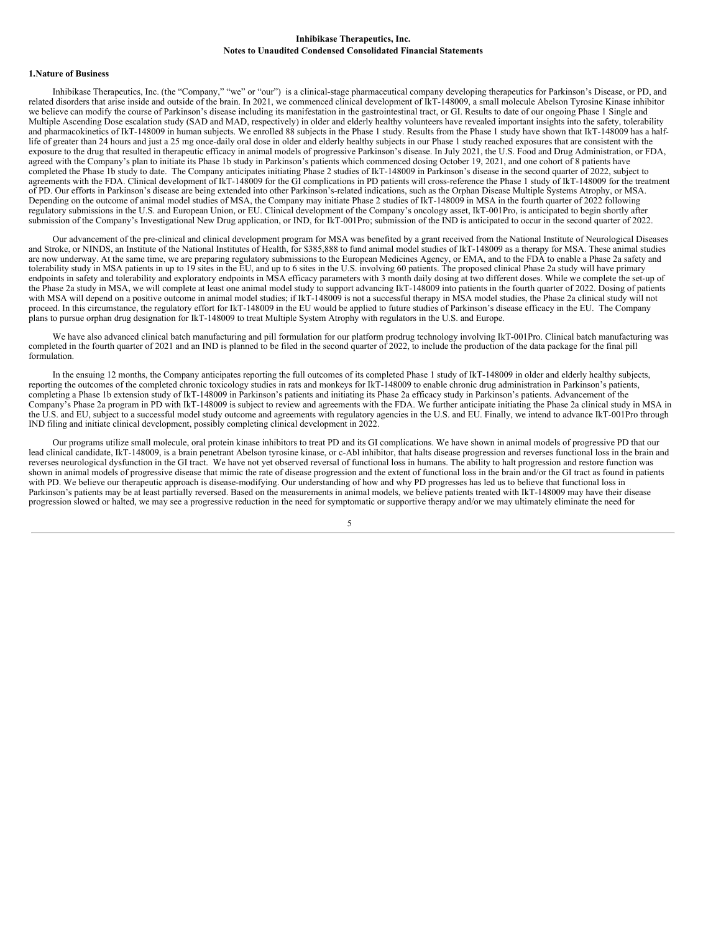## **Inhibikase Therapeutics, Inc. Notes to Unaudited Condensed Consolidated Financial Statements**

#### <span id="page-6-0"></span>**1.Nature of Business**

Inhibikase Therapeutics, Inc. (the "Company," "we" or "our") is a clinical-stage pharmaceutical company developing therapeutics for Parkinson's Disease, or PD, and related disorders that arise inside and outside of the brain. In 2021, we commenced clinical development of IkT-148009, a small molecule Abelson Tyrosine Kinase inhibitor we believe can modify the course of Parkinson's disease including its manifestation in the gastrointestinal tract, or GI. Results to date of our ongoing Phase 1 Single and Multiple Ascending Dose escalation study (SAD and MAD, respectively) in older and elderly healthy volunteers have revealed important insights into the safety, tolerability and pharmacokinetics of IkT-148009 in human subjects. We enrolled 88 subjects in the Phase 1 study. Results from the Phase 1 study have shown that IkT-148009 has a halflife of greater than 24 hours and just a 25 mg once-daily oral dose in older and elderly healthy subjects in our Phase 1 study reached exposures that are consistent with the exposure to the drug that resulted in therapeutic efficacy in animal models of progressive Parkinson's disease. In July 2021, the U.S. Food and Drug Administration, or FDA, agreed with the Company's plan to initiate its Phase 1b study in Parkinson's patients which commenced dosing October 19, 2021, and one cohort of 8 patients have completed the Phase 1b study to date. The Company anticipates initiating Phase 2 studies of IkT-148009 in Parkinson's disease in the second quarter of 2022, subject to agreements with the FDA. Clinical development of IkT-148009 for the GI complications in PD patients will cross-reference the Phase 1 study of IkT-148009 for the treatment of PD. Our efforts in Parkinson's disease are being extended into other Parkinson's-related indications, such as the Orphan Disease Multiple Systems Atrophy, or MSA. Depending on the outcome of animal model studies of MSA, the Company may initiate Phase 2 studies of IkT-148009 in MSA in the fourth quarter of 2022 following regulatory submissions in the U.S. and European Union, or EU. Clinical development of the Company's oncology asset, IkT-001Pro, is anticipated to begin shortly after submission of the Company's Investigational New Drug application, or IND, for IkT-001Pro; submission of the IND is anticipated to occur in the second quarter of 2022.

Our advancement of the pre-clinical and clinical development program for MSA was benefited by a grant received from the National Institute of Neurological Diseases and Stroke, or NINDS, an Institute of the National Institutes of Health, for \$385,888 to fund animal model studies of IkT-148009 as a therapy for MSA. These animal studies are now underway. At the same time, we are preparing regulatory submissions to the European Medicines Agency, or EMA, and to the FDA to enable a Phase 2a safety and tolerability study in MSA patients in up to 19 sites in the EU, and up to 6 sites in the U.S. involving 60 patients. The proposed clinical Phase 2a study will have primary endpoints in safety and tolerability and exploratory endpoints in MSA efficacy parameters with 3 month daily dosing at two different doses. While we complete the set-up of the Phase 2a study in MSA, we will complete at least one animal model study to support advancing IkT-148009 into patients in the fourth quarter of 2022. Dosing of patients with MSA will depend on a positive outcome in animal model studies; if IkT-148009 is not a successful therapy in MSA model studies, the Phase 2a clinical study will not proceed. In this circumstance, the regulatory effort for IkT-148009 in the EU would be applied to future studies of Parkinson's disease efficacy in the EU. The Company plans to pursue orphan drug designation for IkT-148009 to treat Multiple System Atrophy with regulators in the U.S. and Europe.

We have also advanced clinical batch manufacturing and pill formulation for our platform prodrug technology involving IkT-001Pro. Clinical batch manufacturing was completed in the fourth quarter of 2021 and an IND is planned to be filed in the second quarter of 2022, to include the production of the data package for the final pill formulation.

In the ensuing 12 months, the Company anticipates reporting the full outcomes of its completed Phase 1 study of IkT-148009 in older and elderly healthy subjects, reporting the outcomes of the completed chronic toxicology studies in rats and monkeys for IkT-148009 to enable chronic drug administration in Parkinson's patients, completing a Phase 1b extension study of IkT-148009 in Parkinson's patients and initiating its Phase 2a efficacy study in Parkinson's patients. Advancement of the Company's Phase 2a program in PD with IkT-148009 is subject to review and agreements with the FDA. We further anticipate initiating the Phase 2a clinical study in MSA in the U.S. and EU, subject to a successful model study outcome and agreements with regulatory agencies in the U.S. and EU. Finally, we intend to advance IkT-001Pro through IND filing and initiate clinical development, possibly completing clinical development in 2022.

Our programs utilize small molecule, oral protein kinase inhibitors to treat PD and its GI complications. We have shown in animal models of progressive PD that our lead clinical candidate, IkT-148009, is a brain penetrant Abelson tyrosine kinase, or c-Abl inhibitor, that halts disease progression and reverses functional loss in the brain and reverses neurological dysfunction in the GI tract. We have not yet observed reversal of functional loss in humans. The ability to halt progression and restore function was shown in animal models of progressive disease that mimic the rate of disease progression and the extent of functional loss in the brain and/or the GI tract as found in patients with PD. We believe our therapeutic approach is disease-modifying. Our understanding of how and why PD progresses has led us to believe that functional loss in Parkinson's patients may be at least partially reversed. Based on the measurements in animal models, we believe patients treated with IkT-148009 may have their disease progression slowed or halted, we may see a progressive reduction in the need for symptomatic or supportive therapy and/or we may ultimately eliminate the need for

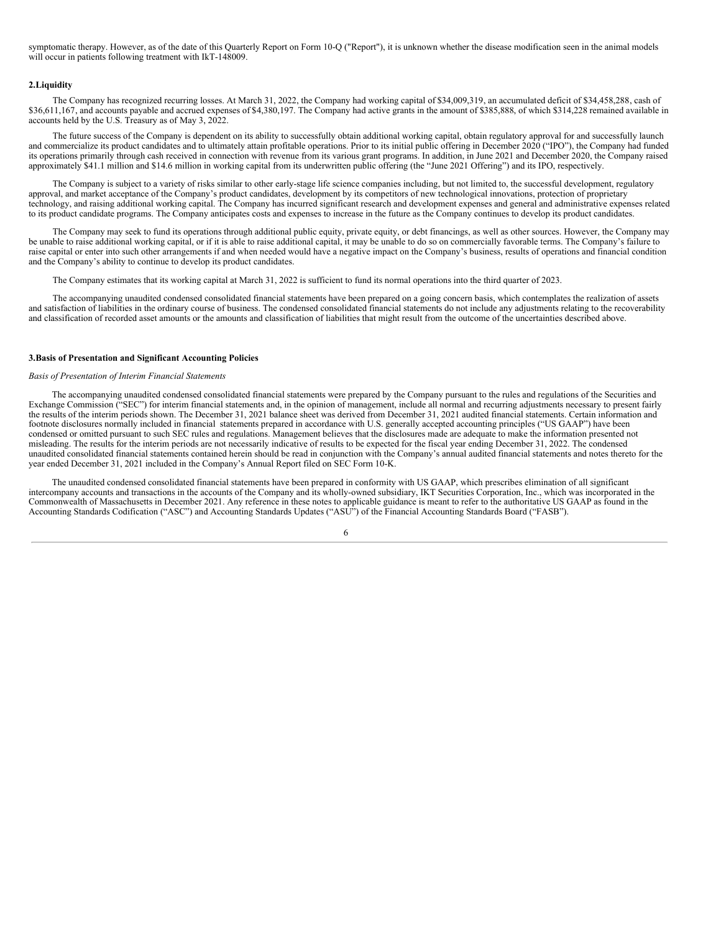symptomatic therapy. However, as of the date of this Quarterly Report on Form 10-Q ("Report"), it is unknown whether the disease modification seen in the animal models will occur in patients following treatment with IkT-148009.

## **2.Liquidity**

The Company has recognized recurring losses. At March 31, 2022, the Company had working capital of \$34,009,319, an accumulated deficit of \$34,458,288, cash of \$36,611,167, and accounts payable and accrued expenses of \$4,380,197. The Company had active grants in the amount of \$385,888, of which \$314,228 remained available in accounts held by the U.S. Treasury as of May 3, 2022.

The future success of the Company is dependent on its ability to successfully obtain additional working capital, obtain regulatory approval for and successfully launch and commercialize its product candidates and to ultimately attain profitable operations. Prior to its initial public offering in December 2020 ("IPO"), the Company had funded its operations primarily through cash received in connection with revenue from its various grant programs. In addition, in June 2021 and December 2020, the Company raised approximately \$41.1 million and \$14.6 million in working capital from its underwritten public offering (the "June 2021 Offering") and its IPO, respectively.

The Company is subject to a variety of risks similar to other early-stage life science companies including, but not limited to, the successful development, regulatory approval, and market acceptance of the Company's product candidates, development by its competitors of new technological innovations, protection of proprietary technology, and raising additional working capital. The Company has incurred significant research and development expenses and general and administrative expenses related to its product candidate programs. The Company anticipates costs and expenses to increase in the future as the Company continues to develop its product candidates.

The Company may seek to fund its operations through additional public equity, private equity, or debt financings, as well as other sources. However, the Company may be unable to raise additional working capital, or if it is able to raise additional capital, it may be unable to do so on commercially favorable terms. The Company's failure to raise capital or enter into such other arrangements if and when needed would have a negative impact on the Company's business, results of operations and financial condition and the Company's ability to continue to develop its product candidates.

The Company estimates that its working capital at March 31, 2022 is sufficient to fund its normal operations into the third quarter of 2023.

The accompanying unaudited condensed consolidated financial statements have been prepared on a going concern basis, which contemplates the realization of assets and satisfaction of liabilities in the ordinary course of business. The condensed consolidated financial statements do not include any adjustments relating to the recoverability and classification of recorded asset amounts or the amounts and classification of liabilities that might result from the outcome of the uncertainties described above.

## **3.Basis of Presentation and Significant Accounting Policies**

#### *Basis of Presentation of Interim Financial Statements*

The accompanying unaudited condensed consolidated financial statements were prepared by the Company pursuant to the rules and regulations of the Securities and Exchange Commission ("SEC") for interim financial statements and, in the opinion of management, include all normal and recurring adjustments necessary to present fairly the results of the interim periods shown. The December 31, 2021 balance sheet was derived from December 31, 2021 audited financial statements. Certain information and footnote disclosures normally included in financial statements prepared in accordance with U.S. generally accepted accounting principles ("US GAAP") have been condensed or omitted pursuant to such SEC rules and regulations. Management believes that the disclosures made are adequate to make the information presented not misleading. The results for the interim periods are not necessarily indicative of results to be expected for the fiscal year ending December 31, 2022. The condensed unaudited consolidated financial statements contained herein should be read in conjunction with the Company's annual audited financial statements and notes thereto for the year ended December 31, 2021 included in the Company's Annual Report filed on SEC Form 10-K.

The unaudited condensed consolidated financial statements have been prepared in conformity with US GAAP, which prescribes elimination of all significant intercompany accounts and transactions in the accounts of the Company and its wholly-owned subsidiary, IKT Securities Corporation, Inc., which was incorporated in the Commonwealth of Massachusetts in December 2021. Any reference in these notes to applicable guidance is meant to refer to the authoritative US GAAP as found in the Accounting Standards Codification ("ASC") and Accounting Standards Updates ("ASU") of the Financial Accounting Standards Board ("FASB").

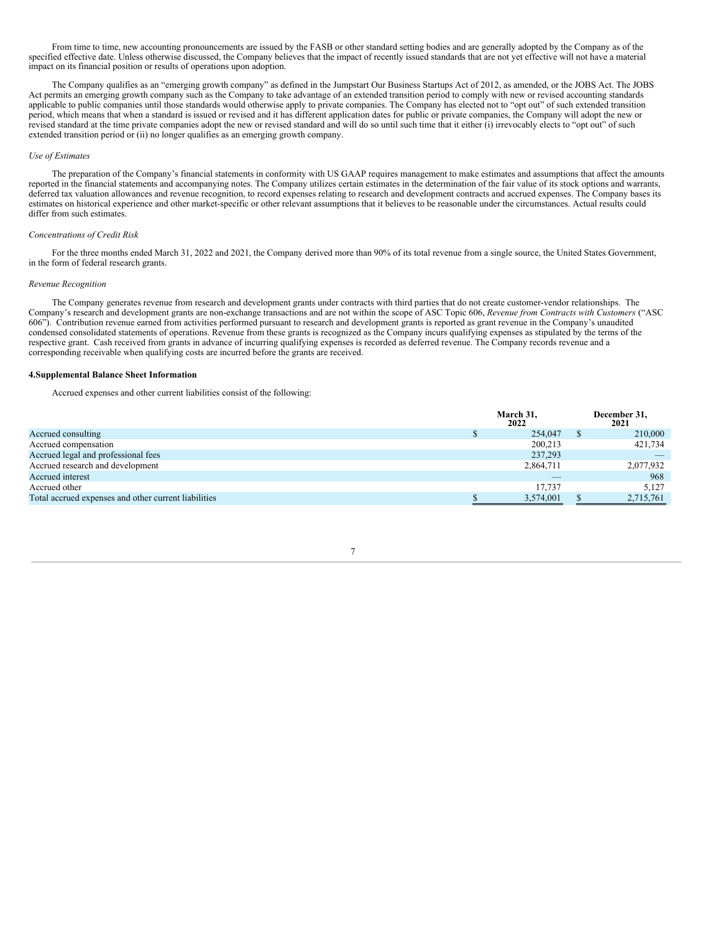From time to time, new accounting pronouncements are issued by the FASB or other standard setting bodies and are generally adopted by the Company as of the specified effective date. Unless otherwise discussed, the Company believes that the impact of recently issued standards that are not yet effective will not have a material impact on its financial position or results of operations upon adoption.

The Company qualifies as an "emerging growth company" as defined in the Jumpstart Our Business Startups Act of 2012, as amended, or the JOBS Act. The JOBS Act permits an emerging growth company such as the Company to take advantage of an extended transition period to comply with new or revised accounting standards applicable to public companies until those standards would otherwise apply to private companies. The Company has elected not to "opt out" of such extended transition period, which means that when a standard is issued or revised and it has different application dates for public or private companies, the Company will adopt the new or revised standard at the time private companies adopt the new or revised standard and will do so until such time that it either (i) irrevocably elects to "opt out" of such extended transition period or (ii) no longer qualifies as an emerging growth company.

## *Use of Estimates*

The preparation of the Company's financial statements in conformity with US GAAP requires management to make estimates and assumptions that affect the amounts reported in the financial statements and accompanying notes. The Company utilizes certain estimates in the determination of the fair value of its stock options and warrants, deferred tax valuation allowances and revenue recognition, to record expenses relating to research and development contracts and accrued expenses. The Company bases its estimates on historical experience and other market-specific or other relevant assumptions that it believes to be reasonable under the circumstances. Actual results could differ from such estimates.

#### *Concentrations of Credit Risk*

For the three months ended March 31, 2022 and 2021, the Company derived more than 90% of its total revenue from a single source, the United States Government, in the form of federal research grants.

#### *Revenue Recognition*

The Company generates revenue from research and development grants under contracts with third parties that do not create customer-vendor relationships. The Company's research and development grants are non-exchange transactions and are not within the scope of ASC Topic 606, *Revenue from Contracts with Customers* ("ASC 606"). Contribution revenue earned from activities performed pursuant to research and development grants is reported as grant revenue in the Company's unaudited condensed consolidated statements of operations. Revenue from these grants is recognized as the Company incurs qualifying expenses as stipulated by the terms of the respective grant. Cash received from grants in advance of incurring qualifying expenses is recorded as deferred revenue. The Company records revenue and a corresponding receivable when qualifying costs are incurred before the grants are received.

#### **4.Supplemental Balance Sheet Information**

Accrued expenses and other current liabilities consist of the following:

|                                                      | March 31,<br>2022        | December 31,<br>2021 |
|------------------------------------------------------|--------------------------|----------------------|
| Accrued consulting                                   | 254,047                  | 210,000              |
| Accrued compensation                                 | 200,213                  | 421,734              |
| Accrued legal and professional fees                  | 237,293                  |                      |
| Accrued research and development                     | 2,864,711                | 2,077,932            |
| Accrued interest                                     | $\overline{\phantom{a}}$ | 968                  |
| Accrued other                                        | 17.737                   | 5.127                |
| Total accrued expenses and other current liabilities | 3,574,001                | 2,715,761            |

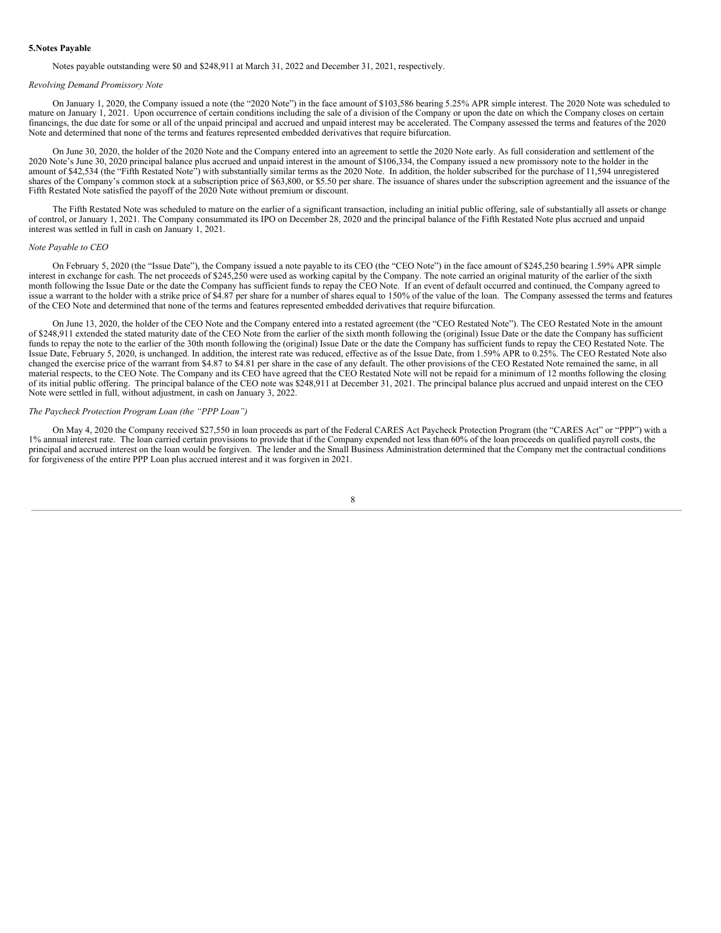#### **5.Notes Payable**

Notes payable outstanding were \$0 and \$248,911 at March 31, 2022 and December 31, 2021, respectively.

#### *Revolving Demand Promissory Note*

On January 1, 2020, the Company issued a note (the "2020 Note") in the face amount of \$103,586 bearing 5.25% APR simple interest. The 2020 Note was scheduled to mature on January 1, 2021. Upon occurrence of certain conditions including the sale of a division of the Company or upon the date on which the Company closes on certain financings, the due date for some or all of the unpaid principal and accrued and unpaid interest may be accelerated. The Company assessed the terms and features of the 2020 Note and determined that none of the terms and features represented embedded derivatives that require bifurcation.

On June 30, 2020, the holder of the 2020 Note and the Company entered into an agreement to settle the 2020 Note early. As full consideration and settlement of the 2020 Note's June 30, 2020 principal balance plus accrued and unpaid interest in the amount of \$106,334, the Company issued a new promissory note to the holder in the amount of \$42,534 (the "Fifth Restated Note") with substantially similar terms as the 2020 Note. In addition, the holder subscribed for the purchase of 11,594 unregistered shares of the Company's common stock at a subscription price of \$63,800, or \$5.50 per share. The issuance of shares under the subscription agreement and the issuance of the Fifth Restated Note satisfied the payoff of the 2020 Note without premium or discount.

The Fifth Restated Note was scheduled to mature on the earlier of a significant transaction, including an initial public offering, sale of substantially all assets or change of control, or January 1, 2021. The Company consummated its IPO on December 28, 2020 and the principal balance of the Fifth Restated Note plus accrued and unpaid interest was settled in full in cash on January 1, 2021.

#### *Note Payable to CEO*

On February 5, 2020 (the "Issue Date"), the Company issued a note payable to its CEO (the "CEO Note") in the face amount of \$245,250 bearing 1.59% APR simple interest in exchange for cash. The net proceeds of \$245,250 were used as working capital by the Company. The note carried an original maturity of the earlier of the sixth month following the Issue Date or the date the Company has sufficient funds to repay the CEO Note. If an event of default occurred and continued, the Company agreed to issue a warrant to the holder with a strike price of \$4.87 per share for a number of shares equal to 150% of the value of the loan. The Company assessed the terms and features of the CEO Note and determined that none of the terms and features represented embedded derivatives that require bifurcation.

On June 13, 2020, the holder of the CEO Note and the Company entered into a restated agreement (the "CEO Restated Note"). The CEO Restated Note in the amount of \$248,911 extended the stated maturity date of the CEO Note from the earlier of the sixth month following the (original) Issue Date or the date the Company has sufficient funds to repay the note to the earlier of the 30th month following the (original) Issue Date or the date the Company has sufficient funds to repay the CEO Restated Note. The Issue Date, February 5, 2020, is unchanged. In addition, the interest rate was reduced, effective as of the Issue Date, from 1.59% APR to 0.25%. The CEO Restated Note also changed the exercise price of the warrant from \$4.87 to \$4.81 per share in the case of any default. The other provisions of the CEO Restated Note remained the same, in all material respects, to the CEO Note. The Company and its CEO have agreed that the CEO Restated Note will not be repaid for a minimum of 12 months following the closing of its initial public offering. The principal balance of the CEO note was \$248,911 at December 31, 2021. The principal balance plus accrued and unpaid interest on the CEO Note were settled in full, without adjustment, in cash on January 3, 2022.

## *The Paycheck Protection Program Loan (the "PPP Loan")*

On May 4, 2020 the Company received \$27,550 in loan proceeds as part of the Federal CARES Act Paycheck Protection Program (the "CARES Act" or "PPP") with a 1% annual interest rate. The loan carried certain provisions to provide that if the Company expended not less than 60% of the loan proceeds on qualified payroll costs, the principal and accrued interest on the loan would be forgiven. The lender and the Small Business Administration determined that the Company met the contractual conditions for forgiveness of the entire PPP Loan plus accrued interest and it was forgiven in 2021.

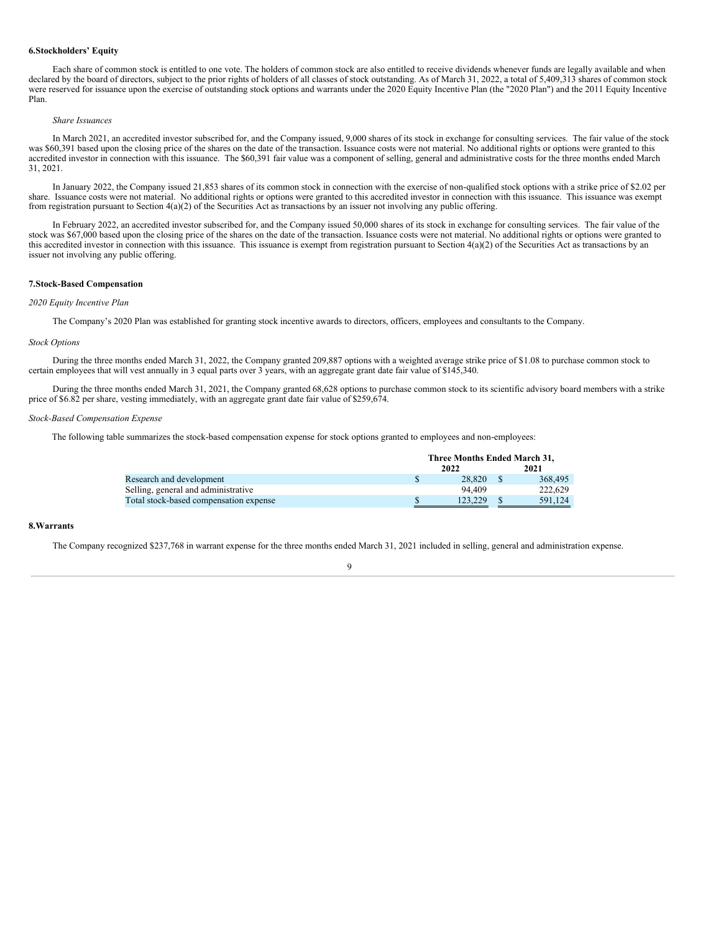## **6.Stockholders' Equity**

Each share of common stock is entitled to one vote. The holders of common stock are also entitled to receive dividends whenever funds are legally available and when declared by the board of directors, subject to the prior rights of holders of all classes of stock outstanding. As of March 31, 2022, a total of 5,409,313 shares of common stock were reserved for issuance upon the exercise of outstanding stock options and warrants under the 2020 Equity Incentive Plan (the "2020 Plan") and the 2011 Equity Incentive Plan.

#### *Share Issuances*

In March 2021, an accredited investor subscribed for, and the Company issued, 9,000 shares of its stock in exchange for consulting services. The fair value of the stock was \$60,391 based upon the closing price of the shares on the date of the transaction. Issuance costs were not material. No additional rights or options were granted to this accredited investor in connection with this issuance. The \$60,391 fair value was a component of selling, general and administrative costs for the three months ended March 31, 2021.

In January 2022, the Company issued 21,853 shares of its common stock in connection with the exercise of non-qualified stock options with a strike price of \$2.02 per share. Issuance costs were not material. No additional rights or options were granted to this accredited investor in connection with this issuance. This issuance was exempt from registration pursuant to Section 4(a)(2) of the Securities Act as transactions by an issuer not involving any public offering.

In February 2022, an accredited investor subscribed for, and the Company issued 50,000 shares of its stock in exchange for consulting services. The fair value of the stock was \$67,000 based upon the closing price of the shares on the date of the transaction. Issuance costs were not material. No additional rights or options were granted to this accredited investor in connection with this issuance. This issuance is exempt from registration pursuant to Section  $4(a)(2)$  of the Securities Act as transactions by an issuer not involving any public offering.

## **7.Stock-Based Compensation**

#### *2020 Equity Incentive Plan*

The Company's 2020 Plan was established for granting stock incentive awards to directors, officers, employees and consultants to the Company.

#### *Stock Options*

During the three months ended March 31, 2022, the Company granted 209,887 options with a weighted average strike price of \$1.08 to purchase common stock to certain employees that will vest annually in 3 equal parts over 3 years, with an aggregate grant date fair value of \$145,340.

During the three months ended March 31, 2021, the Company granted 68,628 options to purchase common stock to its scientific advisory board members with a strike price of \$6.82 per share, vesting immediately, with an aggregate grant date fair value of \$259,674.

#### *Stock-Based Compensation Expense*

The following table summarizes the stock-based compensation expense for stock options granted to employees and non-employees:

|                                        | Three Months Ended March 31, |      |         |  |  |  |  |
|----------------------------------------|------------------------------|------|---------|--|--|--|--|
|                                        | 2022                         | 2021 |         |  |  |  |  |
| Research and development               | 28,820                       |      | 368,495 |  |  |  |  |
| Selling, general and administrative    | 94.409                       |      | 222.629 |  |  |  |  |
| Total stock-based compensation expense | 123.229                      |      | 591.124 |  |  |  |  |

#### **8.Warrants**

The Company recognized \$237,768 in warrant expense for the three months ended March 31, 2021 included in selling, general and administration expense.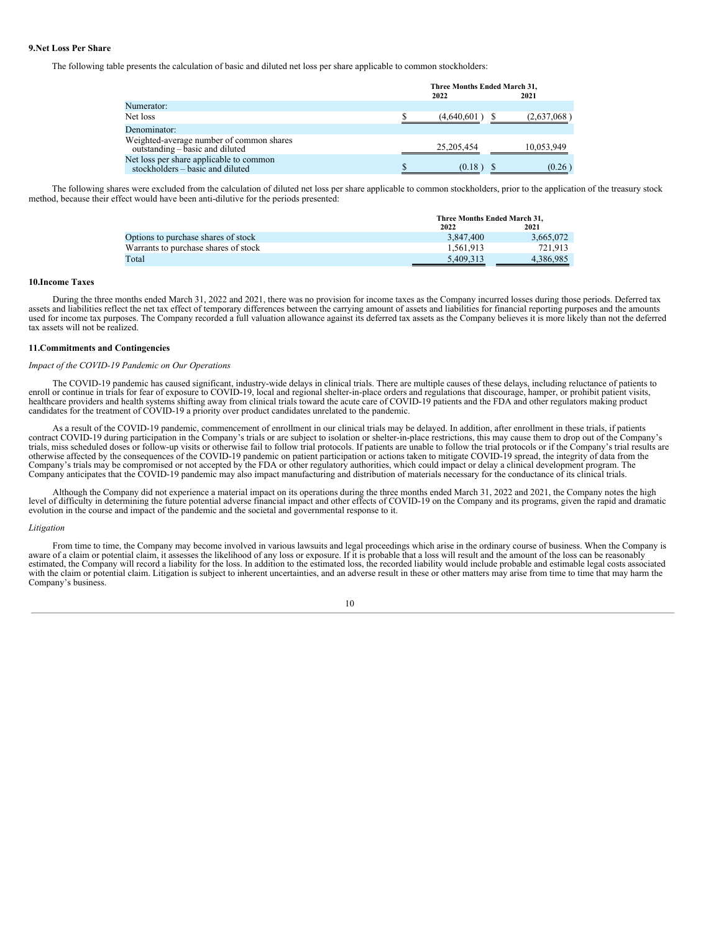#### **9.Net Loss Per Share**

The following table presents the calculation of basic and diluted net loss per share applicable to common stockholders:

|                                                                             | Three Months Ended March 31,<br>2022 | 2021        |
|-----------------------------------------------------------------------------|--------------------------------------|-------------|
| Numerator:                                                                  |                                      |             |
| Net loss                                                                    | (4,640,601)                          | (2,637,068) |
| Denominator:                                                                |                                      |             |
| Weighted-average number of common shares<br>outstanding – basic and diluted | 25.205.454                           | 10,053,949  |
| Net loss per share applicable to common<br>stockholders – basic and diluted | (0.18)                               | (0.26)      |

The following shares were excluded from the calculation of diluted net loss per share applicable to common stockholders, prior to the application of the treasury stock method, because their effect would have been anti-dilutive for the periods presented:

|                                      | Three Months Ended March 31, |           |
|--------------------------------------|------------------------------|-----------|
|                                      | 2022                         | 2021      |
| Options to purchase shares of stock  | 3.847.400                    | 3.665.072 |
| Warrants to purchase shares of stock | 1.561.913                    | 721.913   |
| Total                                | 5.409.313                    | 4.386.985 |

#### **10.Income Taxes**

During the three months ended March 31, 2022 and 2021, there was no provision for income taxes as the Company incurred losses during those periods. Deferred tax assets and liabilities reflect the net tax effect of temporary differences between the carrying amount of assets and liabilities for financial reporting purposes and the amounts used for income tax purposes. The Company recorded a full valuation allowance against its deferred tax assets as the Company believes it is more likely than not the deferred tax assets will not be realized.

## **11.Commitments and Contingencies**

#### *Impact of the COVID-19 Pandemic on Our Operations*

The COVID-19 pandemic has caused significant, industry-wide delays in clinical trials. There are multiple causes of these delays, including reluctance of patients to enroll or continue in trials for fear of exposure to COVID-19, local and regional shelter-in-place orders and regulations that discourage, hamper, or prohibit patient visits,<br>healthcare providers and health systems shiftin candidates for the treatment of COVID-19 a priority over product candidates unrelated to the pandemic.

As a result of the COVID-19 pandemic, commencement of enrollment in our clinical trials may be delayed. In addition, after enrollment in these trials, if patients contract COVID-19 during participation in the Company's trials or are subject to isolation or shelter-in-place restrictions, this may cause them to drop out of the Company's trials, miss scheduled doses or follow-up visits or otherwise fail to follow trial protocols. If patients are unable to follow the trial protocols or if the Company's trial results are otherwise affected by the consequences of the COVID-19 pandemic on patient participation or actions taken to mitigate COVID-19 spread, the integrity of data from the Company's trials may be compromised or not accepted by the FDA or other regulatory authorities, which could impact or delay a clinical development program. The Company anticipates that the COVID-19 pandemic may also impact

Although the Company did not experience a material impact on its operations during the three months ended March 31, 2022 and 2021, the Company notes the high level of difficulty in determining the future potential adverse financial impact and other effects of COVID-19 on the Company and its programs, given the rapid and dramatic evolution in the course and impact of the pandemic and the societal and governmental response to it.

#### *Litigation*

From time to time, the Company may become involved in various lawsuits and legal proceedings which arise in the ordinary course of business. When the Company is aware of a claim or potential claim, it assesses the likelihood of any loss or exposure. If it is probable that a loss will result and the amount of the loss can be reasonably<br>estimated, the Company will record a liability with the claim or potential claim. Litigation is subject to inherent uncertainties, and an adverse result in these or other matters may arise from time to time that may harm the Company's business.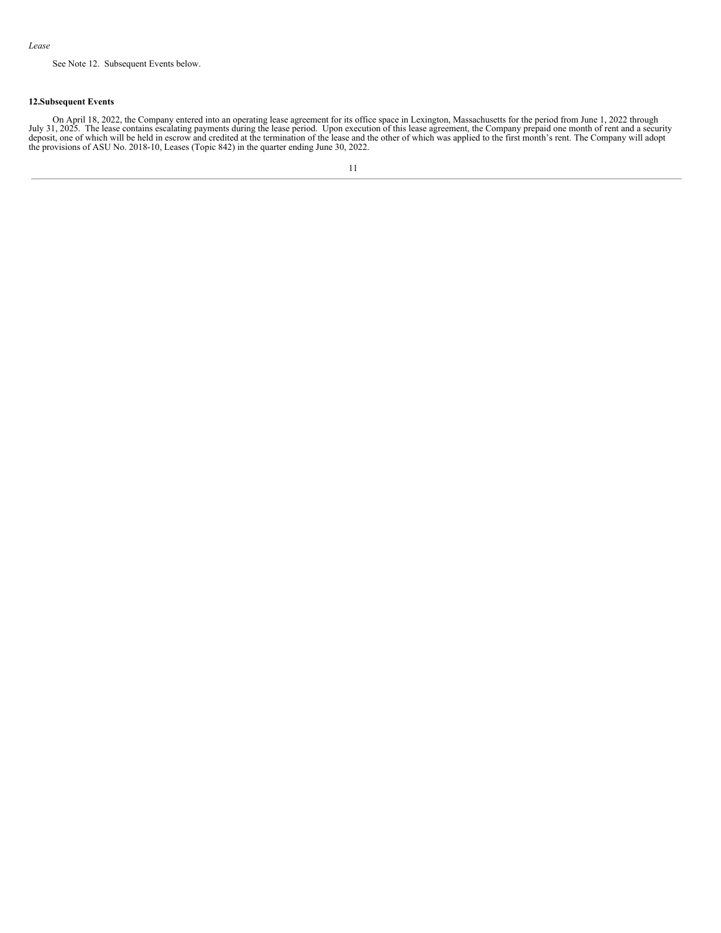See Note 12. Subsequent Events below.

# **12.Subsequent Events**

On April 18, 2022, the Company entered into an operating lease agreement for its office space in Lexington, Massachusetts for the period from June 1, 2022 through<br>July 31, 2025. The lease contains escalating payments durin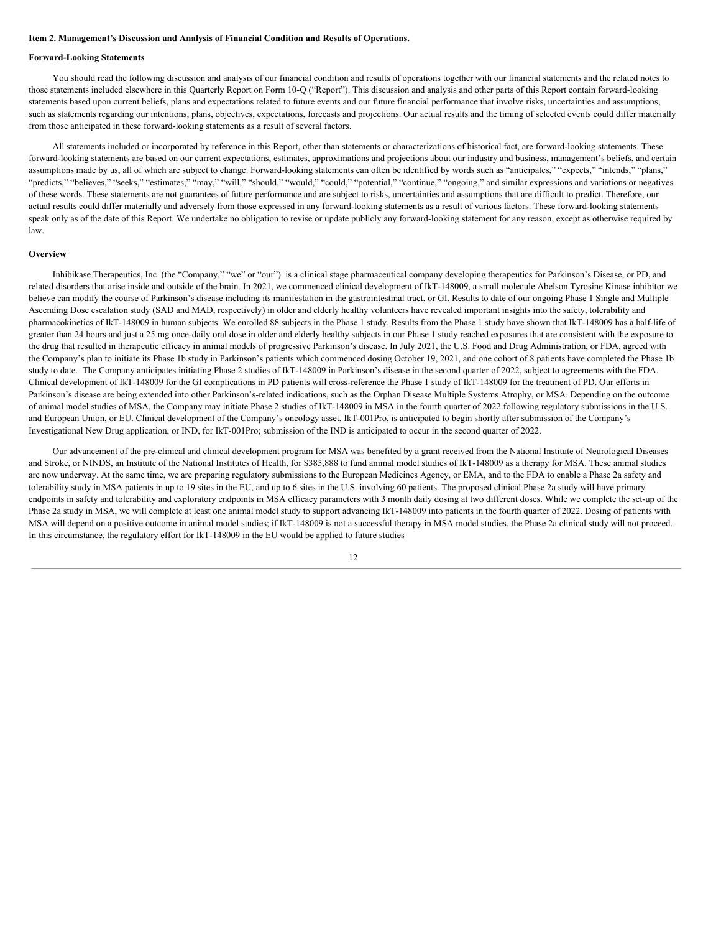#### <span id="page-13-0"></span>**Item 2. Management's Discussion and Analysis of Financial Condition and Results of Operations.**

#### **Forward-Looking Statements**

You should read the following discussion and analysis of our financial condition and results of operations together with our financial statements and the related notes to those statements included elsewhere in this Quarterly Report on Form 10-Q ("Report"). This discussion and analysis and other parts of this Report contain forward-looking statements based upon current beliefs, plans and expectations related to future events and our future financial performance that involve risks, uncertainties and assumptions, such as statements regarding our intentions, plans, objectives, expectations, forecasts and projections. Our actual results and the timing of selected events could differ materially from those anticipated in these forward-looking statements as a result of several factors.

All statements included or incorporated by reference in this Report, other than statements or characterizations of historical fact, are forward-looking statements. These forward-looking statements are based on our current expectations, estimates, approximations and projections about our industry and business, management's beliefs, and certain assumptions made by us, all of which are subject to change. Forward-looking statements can often be identified by words such as "anticipates," "expects," "intends," "plans," "predicts," "believes," "seeks," "estimates," "may," "will," "should," "would," "pould," "potential," "continue," "ongoing," and similar expressions and variations or negatives of these words. These statements are not guarantees of future performance and are subject to risks, uncertainties and assumptions that are difficult to predict. Therefore, our actual results could differ materially and adversely from those expressed in any forward-looking statements as a result of various factors. These forward-looking statements speak only as of the date of this Report. We undertake no obligation to revise or update publicly any forward-looking statement for any reason, except as otherwise required by law.

#### **Overview**

Inhibikase Therapeutics, Inc. (the "Company," "we" or "our") is a clinical stage pharmaceutical company developing therapeutics for Parkinson's Disease, or PD, and related disorders that arise inside and outside of the brain. In 2021, we commenced clinical development of IkT-148009, a small molecule Abelson Tyrosine Kinase inhibitor we believe can modify the course of Parkinson's disease including its manifestation in the gastrointestinal tract, or GI. Results to date of our ongoing Phase 1 Single and Multiple Ascending Dose escalation study (SAD and MAD, respectively) in older and elderly healthy volunteers have revealed important insights into the safety, tolerability and pharmacokinetics of IkT-148009 in human subjects. We enrolled 88 subjects in the Phase 1 study. Results from the Phase 1 study have shown that IkT-148009 has a half-life of greater than 24 hours and just a 25 mg once-daily oral dose in older and elderly healthy subjects in our Phase 1 study reached exposures that are consistent with the exposure to the drug that resulted in therapeutic efficacy in animal models of progressive Parkinson's disease. In July 2021, the U.S. Food and Drug Administration, or FDA, agreed with the Company's plan to initiate its Phase 1b study in Parkinson's patients which commenced dosing October 19, 2021, and one cohort of 8 patients have completed the Phase 1b study to date. The Company anticipates initiating Phase 2 studies of IkT-148009 in Parkinson's disease in the second quarter of 2022, subject to agreements with the FDA. Clinical development of IkT-148009 for the GI complications in PD patients will cross-reference the Phase 1 study of IkT-148009 for the treatment of PD. Our efforts in Parkinson's disease are being extended into other Parkinson's-related indications, such as the Orphan Disease Multiple Systems Atrophy, or MSA. Depending on the outcome of animal model studies of MSA, the Company may initiate Phase 2 studies of IkT-148009 in MSA in the fourth quarter of 2022 following regulatory submissions in the U.S. and European Union, or EU. Clinical development of the Company's oncology asset, IkT-001Pro, is anticipated to begin shortly after submission of the Company's Investigational New Drug application, or IND, for IkT-001Pro; submission of the IND is anticipated to occur in the second quarter of 2022.

Our advancement of the pre-clinical and clinical development program for MSA was benefited by a grant received from the National Institute of Neurological Diseases and Stroke, or NINDS, an Institute of the National Institutes of Health, for \$385,888 to fund animal model studies of IkT-148009 as a therapy for MSA. These animal studies are now underway. At the same time, we are preparing regulatory submissions to the European Medicines Agency, or EMA, and to the FDA to enable a Phase 2a safety and tolerability study in MSA patients in up to 19 sites in the EU, and up to 6 sites in the U.S. involving 60 patients. The proposed clinical Phase 2a study will have primary endpoints in safety and tolerability and exploratory endpoints in MSA efficacy parameters with 3 month daily dosing at two different doses. While we complete the set-up of the Phase 2a study in MSA, we will complete at least one animal model study to support advancing IkT-148009 into patients in the fourth quarter of 2022. Dosing of patients with MSA will depend on a positive outcome in animal model studies; if IkT-148009 is not a successful therapy in MSA model studies, the Phase 2a clinical study will not proceed. In this circumstance, the regulatory effort for IkT-148009 in the EU would be applied to future studies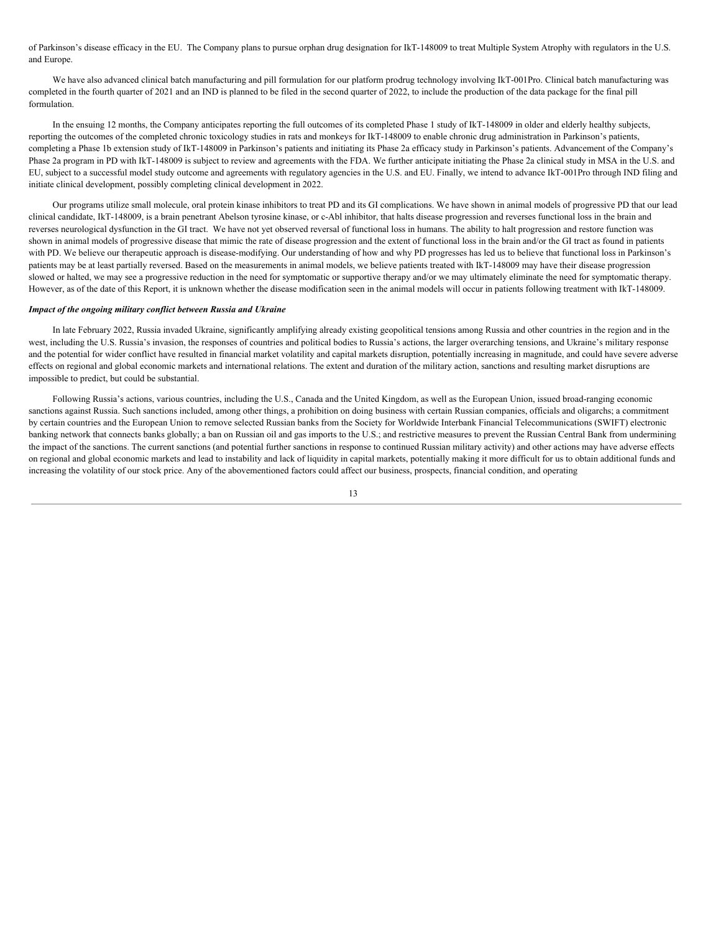of Parkinson's disease efficacy in the EU. The Company plans to pursue orphan drug designation for IkT-148009 to treat Multiple System Atrophy with regulators in the U.S. and Europe.

We have also advanced clinical batch manufacturing and pill formulation for our platform prodrug technology involving IkT-001Pro. Clinical batch manufacturing was completed in the fourth quarter of 2021 and an IND is planned to be filed in the second quarter of 2022, to include the production of the data package for the final pill formulation.

In the ensuing 12 months, the Company anticipates reporting the full outcomes of its completed Phase 1 study of IkT-148009 in older and elderly healthy subjects, reporting the outcomes of the completed chronic toxicology studies in rats and monkeys for IkT-148009 to enable chronic drug administration in Parkinson's patients, completing a Phase 1b extension study of IkT-148009 in Parkinson's patients and initiating its Phase 2a efficacy study in Parkinson's patients. Advancement of the Company's Phase 2a program in PD with IkT-148009 is subject to review and agreements with the FDA. We further anticipate initiating the Phase 2a clinical study in MSA in the U.S. and EU, subject to a successful model study outcome and agreements with regulatory agencies in the U.S. and EU. Finally, we intend to advance IkT-001Pro through IND filing and initiate clinical development, possibly completing clinical development in 2022.

Our programs utilize small molecule, oral protein kinase inhibitors to treat PD and its GI complications. We have shown in animal models of progressive PD that our lead clinical candidate, IkT-148009, is a brain penetrant Abelson tyrosine kinase, or c-Abl inhibitor, that halts disease progression and reverses functional loss in the brain and reverses neurological dysfunction in the GI tract. We have not yet observed reversal of functional loss in humans. The ability to halt progression and restore function was shown in animal models of progressive disease that mimic the rate of disease progression and the extent of functional loss in the brain and/or the GI tract as found in patients with PD. We believe our therapeutic approach is disease-modifying. Our understanding of how and why PD progresses has led us to believe that functional loss in Parkinson's patients may be at least partially reversed. Based on the measurements in animal models, we believe patients treated with IkT-148009 may have their disease progression slowed or halted, we may see a progressive reduction in the need for symptomatic or supportive therapy and/or we may ultimately eliminate the need for symptomatic therapy. However, as of the date of this Report, it is unknown whether the disease modification seen in the animal models will occur in patients following treatment with IkT-148009.

## *Impact of the ongoing military conflict between Russia and Ukraine*

In late February 2022, Russia invaded Ukraine, significantly amplifying already existing geopolitical tensions among Russia and other countries in the region and in the west, including the U.S. Russia's invasion, the responses of countries and political bodies to Russia's actions, the larger overarching tensions, and Ukraine's military response and the potential for wider conflict have resulted in financial market volatility and capital markets disruption, potentially increasing in magnitude, and could have severe adverse effects on regional and global economic markets and international relations. The extent and duration of the military action, sanctions and resulting market disruptions are impossible to predict, but could be substantial.

Following Russia's actions, various countries, including the U.S., Canada and the United Kingdom, as well as the European Union, issued broad-ranging economic sanctions against Russia. Such sanctions included, among other things, a prohibition on doing business with certain Russian companies, officials and oligarchs; a commitment by certain countries and the European Union to remove selected Russian banks from the Society for Worldwide Interbank Financial Telecommunications (SWIFT) electronic banking network that connects banks globally; a ban on Russian oil and gas imports to the U.S.; and restrictive measures to prevent the Russian Central Bank from undermining the impact of the sanctions. The current sanctions (and potential further sanctions in response to continued Russian military activity) and other actions may have adverse effects on regional and global economic markets and lead to instability and lack of liquidity in capital markets, potentially making it more difficult for us to obtain additional funds and increasing the volatility of our stock price. Any of the abovementioned factors could affect our business, prospects, financial condition, and operating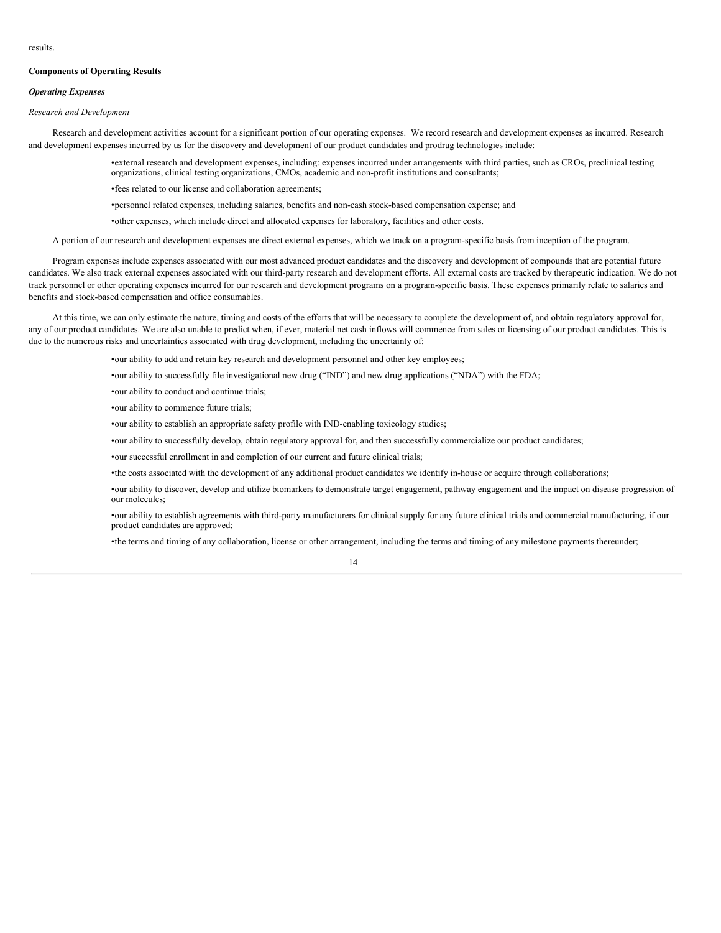## **Components of Operating Results**

#### *Operating Expenses*

*Research and Development*

Research and development activities account for a significant portion of our operating expenses. We record research and development expenses as incurred. Research and development expenses incurred by us for the discovery and development of our product candidates and prodrug technologies include:

> •external research and development expenses, including: expenses incurred under arrangements with third parties, such as CROs, preclinical testing organizations, clinical testing organizations, CMOs, academic and non-profit institutions and consultants;

•fees related to our license and collaboration agreements;

•personnel related expenses, including salaries, benefits and non-cash stock-based compensation expense; and

•other expenses, which include direct and allocated expenses for laboratory, facilities and other costs.

A portion of our research and development expenses are direct external expenses, which we track on a program-specific basis from inception of the program.

Program expenses include expenses associated with our most advanced product candidates and the discovery and development of compounds that are potential future candidates. We also track external expenses associated with our third-party research and development efforts. All external costs are tracked by therapeutic indication. We do not track personnel or other operating expenses incurred for our research and development programs on a program-specific basis. These expenses primarily relate to salaries and benefits and stock-based compensation and office consumables.

At this time, we can only estimate the nature, timing and costs of the efforts that will be necessary to complete the development of, and obtain regulatory approval for, any of our product candidates. We are also unable to predict when, if ever, material net cash inflows will commence from sales or licensing of our product candidates. This is due to the numerous risks and uncertainties associated with drug development, including the uncertainty of:

•our ability to add and retain key research and development personnel and other key employees;

•our ability to successfully file investigational new drug ("IND") and new drug applications ("NDA") with the FDA;

•our ability to conduct and continue trials;

•our ability to commence future trials;

•our ability to establish an appropriate safety profile with IND-enabling toxicology studies;

•our ability to successfully develop, obtain regulatory approval for, and then successfully commercialize our product candidates;

•our successful enrollment in and completion of our current and future clinical trials;

•the costs associated with the development of any additional product candidates we identify in-house or acquire through collaborations;

•our ability to discover, develop and utilize biomarkers to demonstrate target engagement, pathway engagement and the impact on disease progression of our molecules;

•our ability to establish agreements with third-party manufacturers for clinical supply for any future clinical trials and commercial manufacturing, if our product candidates are approved;

•the terms and timing of any collaboration, license or other arrangement, including the terms and timing of any milestone payments thereunder;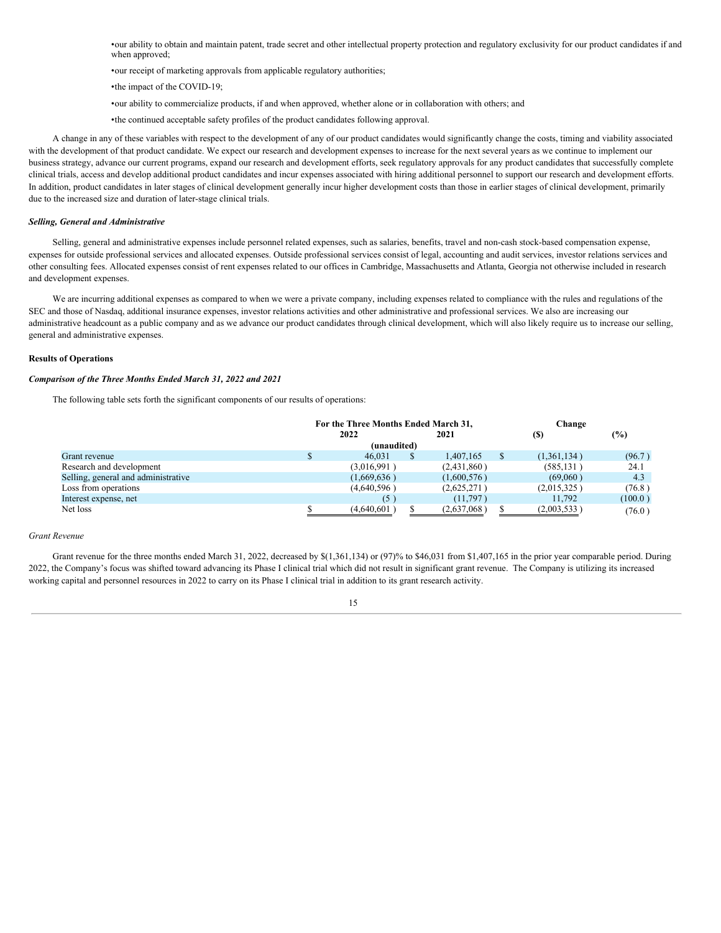•our ability to obtain and maintain patent, trade secret and other intellectual property protection and regulatory exclusivity for our product candidates if and when approved:

•our receipt of marketing approvals from applicable regulatory authorities;

•the impact of the COVID-19;

•our ability to commercialize products, if and when approved, whether alone or in collaboration with others; and

•the continued acceptable safety profiles of the product candidates following approval.

A change in any of these variables with respect to the development of any of our product candidates would significantly change the costs, timing and viability associated with the development of that product candidate. We expect our research and development expenses to increase for the next several years as we continue to implement our business strategy, advance our current programs, expand our research and development efforts, seek regulatory approvals for any product candidates that successfully complete clinical trials, access and develop additional product candidates and incur expenses associated with hiring additional personnel to support our research and development efforts. In addition, product candidates in later stages of clinical development generally incur higher development costs than those in earlier stages of clinical development, primarily due to the increased size and duration of later-stage clinical trials.

#### *Selling, General and Administrative*

Selling, general and administrative expenses include personnel related expenses, such as salaries, benefits, travel and non-cash stock-based compensation expense, expenses for outside professional services and allocated expenses. Outside professional services consist of legal, accounting and audit services, investor relations services and other consulting fees. Allocated expenses consist of rent expenses related to our offices in Cambridge, Massachusetts and Atlanta, Georgia not otherwise included in research and development expenses.

We are incurring additional expenses as compared to when we were a private company, including expenses related to compliance with the rules and regulations of the SEC and those of Nasdaq, additional insurance expenses, investor relations activities and other administrative and professional services. We also are increasing our administrative headcount as a public company and as we advance our product candidates through clinical development, which will also likely require us to increase our selling, general and administrative expenses.

## **Results of Operations**

#### *Comparison of the Three Months Ended March 31, 2022 and 2021*

The following table sets forth the significant components of our results of operations:

|                                     | For the Three Months Ended March 31, |  |             |   | Change      |         |  |
|-------------------------------------|--------------------------------------|--|-------------|---|-------------|---------|--|
|                                     | 2022                                 |  | 2021        |   | (S)         | $(\%)$  |  |
|                                     | (unaudited)                          |  |             |   |             |         |  |
| Grant revenue                       | 46,031                               |  | 1.407.165   | S | (1,361,134) | (96.7)  |  |
| Research and development            | (3,016,991)                          |  | (2,431,860) |   | (585, 131)  | 24.1    |  |
| Selling, general and administrative | (1,669,636)                          |  | (1,600,576) |   | (69,060)    | 4.3     |  |
| Loss from operations                | (4,640,596)                          |  | (2,625,271) |   | (2,015,325) | (76.8)  |  |
| Interest expense, net               |                                      |  | (11,797)    |   | 11,792      | (100.0) |  |
| Net loss                            | (4,640,601)                          |  | (2,637,068) |   | (2,003,533) | (76.0)  |  |

## *Grant Revenue*

Grant revenue for the three months ended March 31, 2022, decreased by \$(1,361,134) or (97)% to \$46,031 from \$1,407,165 in the prior year comparable period. During 2022, the Company's focus was shifted toward advancing its Phase I clinical trial which did not result in significant grant revenue. The Company is utilizing its increased working capital and personnel resources in 2022 to carry on its Phase I clinical trial in addition to its grant research activity.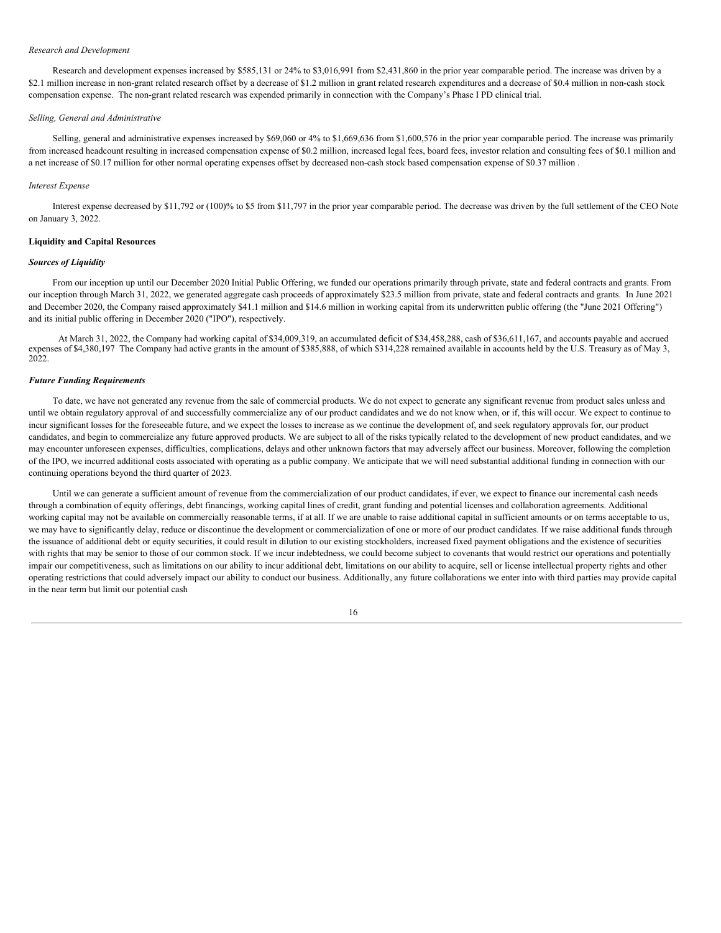## *Research and Development*

Research and development expenses increased by \$585,131 or 24% to \$3,016,991 from \$2,431,860 in the prior year comparable period. The increase was driven by a \$2.1 million increase in non-grant related research offset by a decrease of \$1.2 million in grant related research expenditures and a decrease of \$0.4 million in non-cash stock compensation expense. The non-grant related research was expended primarily in connection with the Company's Phase I PD clinical trial.

#### *Selling, General and Administrative*

Selling, general and administrative expenses increased by \$69,060 or 4% to \$1,669,636 from \$1,600,576 in the prior year comparable period. The increase was primarily from increased headcount resulting in increased compensation expense of \$0.2 million, increased legal fees, board fees, investor relation and consulting fees of \$0.1 million and a net increase of \$0.17 million for other normal operating expenses offset by decreased non-cash stock based compensation expense of \$0.37 million .

## *Interest Expense*

Interest expense decreased by \$11,792 or (100)% to \$5 from \$11,797 in the prior year comparable period. The decrease was driven by the full settlement of the CEO Note on January 3, 2022.

#### **Liquidity and Capital Resources**

#### *Sources of Liquidity*

From our inception up until our December 2020 Initial Public Offering, we funded our operations primarily through private, state and federal contracts and grants. From our inception through March 31, 2022, we generated aggregate cash proceeds of approximately \$23.5 million from private, state and federal contracts and grants. In June 2021 and December 2020, the Company raised approximately \$41.1 million and \$14.6 million in working capital from its underwritten public offering (the "June 2021 Offering") and its initial public offering in December 2020 ("IPO"), respectively.

At March 31, 2022, the Company had working capital of \$34,009,319, an accumulated deficit of \$34,458,288, cash of \$36,611,167, and accounts payable and accrued expenses of \$4,380,197 The Company had active grants in the amount of \$385,888, of which \$314,228 remained available in accounts held by the U.S. Treasury as of May 3, 2022.

## *Future Funding Requirements*

To date, we have not generated any revenue from the sale of commercial products. We do not expect to generate any significant revenue from product sales unless and until we obtain regulatory approval of and successfully commercialize any of our product candidates and we do not know when, or if, this will occur. We expect to continue to incur significant losses for the foreseeable future, and we expect the losses to increase as we continue the development of, and seek regulatory approvals for, our product candidates, and begin to commercialize any future approved products. We are subject to all of the risks typically related to the development of new product candidates, and we may encounter unforeseen expenses, difficulties, complications, delays and other unknown factors that may adversely affect our business. Moreover, following the completion of the IPO, we incurred additional costs associated with operating as a public company. We anticipate that we will need substantial additional funding in connection with our continuing operations beyond the third quarter of 2023.

Until we can generate a sufficient amount of revenue from the commercialization of our product candidates, if ever, we expect to finance our incremental cash needs through a combination of equity offerings, debt financings, working capital lines of credit, grant funding and potential licenses and collaboration agreements. Additional working capital may not be available on commercially reasonable terms, if at all. If we are unable to raise additional capital in sufficient amounts or on terms acceptable to us, we may have to significantly delay, reduce or discontinue the development or commercialization of one or more of our product candidates. If we raise additional funds through the issuance of additional debt or equity securities, it could result in dilution to our existing stockholders, increased fixed payment obligations and the existence of securities with rights that may be senior to those of our common stock. If we incur indebtedness, we could become subject to covenants that would restrict our operations and potentially impair our competitiveness, such as limitations on our ability to incur additional debt, limitations on our ability to acquire, sell or license intellectual property rights and other operating restrictions that could adversely impact our ability to conduct our business. Additionally, any future collaborations we enter into with third parties may provide capital in the near term but limit our potential cash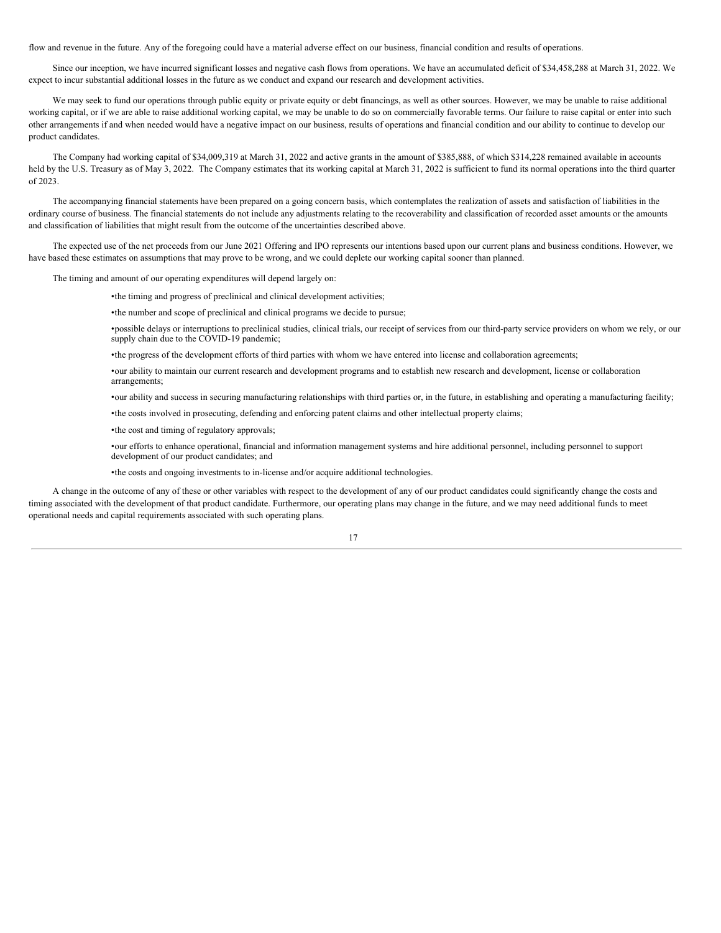flow and revenue in the future. Any of the foregoing could have a material adverse effect on our business, financial condition and results of operations.

Since our inception, we have incurred significant losses and negative cash flows from operations. We have an accumulated deficit of \$34,458,288 at March 31, 2022. We expect to incur substantial additional losses in the future as we conduct and expand our research and development activities.

We may seek to fund our operations through public equity or private equity or debt financings, as well as other sources. However, we may be unable to raise additional working capital, or if we are able to raise additional working capital, we may be unable to do so on commercially favorable terms. Our failure to raise capital or enter into such other arrangements if and when needed would have a negative impact on our business, results of operations and financial condition and our ability to continue to develop our product candidates.

The Company had working capital of \$34,009,319 at March 31, 2022 and active grants in the amount of \$385,888, of which \$314,228 remained available in accounts held by the U.S. Treasury as of May 3, 2022. The Company estimates that its working capital at March 31, 2022 is sufficient to fund its normal operations into the third quarter of 2023.

The accompanying financial statements have been prepared on a going concern basis, which contemplates the realization of assets and satisfaction of liabilities in the ordinary course of business. The financial statements do not include any adjustments relating to the recoverability and classification of recorded asset amounts or the amounts and classification of liabilities that might result from the outcome of the uncertainties described above.

The expected use of the net proceeds from our June 2021 Offering and IPO represents our intentions based upon our current plans and business conditions. However, we have based these estimates on assumptions that may prove to be wrong, and we could deplete our working capital sooner than planned.

The timing and amount of our operating expenditures will depend largely on:

•the timing and progress of preclinical and clinical development activities;

•the number and scope of preclinical and clinical programs we decide to pursue;

•possible delays or interruptions to preclinical studies, clinical trials, our receipt of services from our third-party service providers on whom we rely, or our supply chain due to the COVID-19 pandemic;

•the progress of the development efforts of third parties with whom we have entered into license and collaboration agreements;

•our ability to maintain our current research and development programs and to establish new research and development, license or collaboration arrangements;

•our ability and success in securing manufacturing relationships with third parties or, in the future, in establishing and operating a manufacturing facility;

•the costs involved in prosecuting, defending and enforcing patent claims and other intellectual property claims;

•the cost and timing of regulatory approvals;

•our efforts to enhance operational, financial and information management systems and hire additional personnel, including personnel to support development of our product candidates; and

•the costs and ongoing investments to in-license and/or acquire additional technologies.

A change in the outcome of any of these or other variables with respect to the development of any of our product candidates could significantly change the costs and timing associated with the development of that product candidate. Furthermore, our operating plans may change in the future, and we may need additional funds to meet operational needs and capital requirements associated with such operating plans.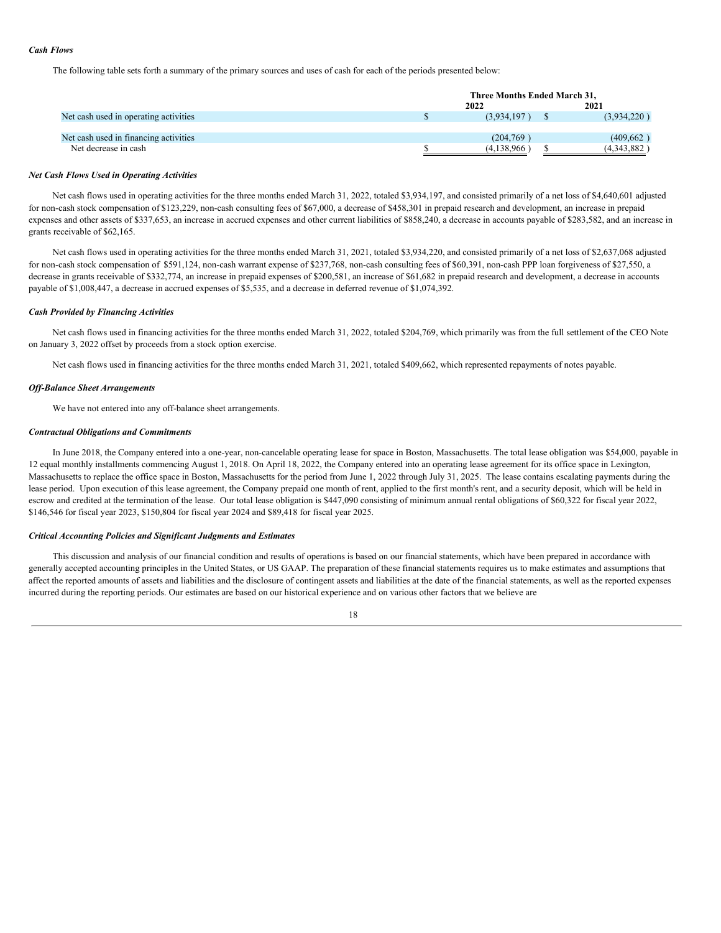## *Cash Flows*

The following table sets forth a summary of the primary sources and uses of cash for each of the periods presented below:

|                                       |             | Three Months Ended March 31, |             |  |  |  |  |
|---------------------------------------|-------------|------------------------------|-------------|--|--|--|--|
|                                       | 2022        |                              | 2021        |  |  |  |  |
| Net cash used in operating activities | (3.934.197) |                              | (3,934,220) |  |  |  |  |
|                                       |             |                              |             |  |  |  |  |
| Net cash used in financing activities | (204.769)   |                              | (409.662)   |  |  |  |  |
| Net decrease in cash                  | (4.138.966) |                              | (4,343,882) |  |  |  |  |

## *Net Cash Flows Used in Operating Activities*

Net cash flows used in operating activities for the three months ended March 31, 2022, totaled \$3,934,197, and consisted primarily of a net loss of \$4,640,601 adjusted for non-cash stock compensation of \$123,229, non-cash consulting fees of \$67,000, a decrease of \$458,301 in prepaid research and development, an increase in prepaid expenses and other assets of \$337,653, an increase in accrued expenses and other current liabilities of \$858,240, a decrease in accounts payable of \$283,582, and an increase in grants receivable of \$62,165.

Net cash flows used in operating activities for the three months ended March 31, 2021, totaled \$3,934,220, and consisted primarily of a net loss of \$2,637,068 adjusted for non-cash stock compensation of \$591,124, non-cash warrant expense of \$237,768, non-cash consulting fees of \$60,391, non-cash PPP loan forgiveness of \$27,550, a decrease in grants receivable of \$332,774, an increase in prepaid expenses of \$200,581, an increase of \$61,682 in prepaid research and development, a decrease in accounts payable of \$1,008,447, a decrease in accrued expenses of \$5,535, and a decrease in deferred revenue of \$1,074,392.

## *Cash Provided by Financing Activities*

Net cash flows used in financing activities for the three months ended March 31, 2022, totaled \$204,769, which primarily was from the full settlement of the CEO Note on January 3, 2022 offset by proceeds from a stock option exercise.

Net cash flows used in financing activities for the three months ended March 31, 2021, totaled \$409,662, which represented repayments of notes payable.

#### *Of -Balance Sheet Arrangements*

We have not entered into any off-balance sheet arrangements.

#### *Contractual Obligations and Commitments*

In June 2018, the Company entered into a one-year, non-cancelable operating lease for space in Boston, Massachusetts. The total lease obligation was \$54,000, payable in 12 equal monthly installments commencing August 1, 2018. On April 18, 2022, the Company entered into an operating lease agreement for its office space in Lexington, Massachusetts to replace the office space in Boston, Massachusetts for the period from June 1, 2022 through July 31, 2025. The lease contains escalating payments during the lease period. Upon execution of this lease agreement, the Company prepaid one month of rent, applied to the first month's rent, and a security deposit, which will be held in escrow and credited at the termination of the lease. Our total lease obligation is \$447,090 consisting of minimum annual rental obligations of \$60,322 for fiscal year 2022, \$146,546 for fiscal year 2023, \$150,804 for fiscal year 2024 and \$89,418 for fiscal year 2025.

## *Critical Accounting Policies and Significant Judgments and Estimates*

This discussion and analysis of our financial condition and results of operations is based on our financial statements, which have been prepared in accordance with generally accepted accounting principles in the United States, or US GAAP. The preparation of these financial statements requires us to make estimates and assumptions that affect the reported amounts of assets and liabilities and the disclosure of contingent assets and liabilities at the date of the financial statements, as well as the reported expenses incurred during the reporting periods. Our estimates are based on our historical experience and on various other factors that we believe are

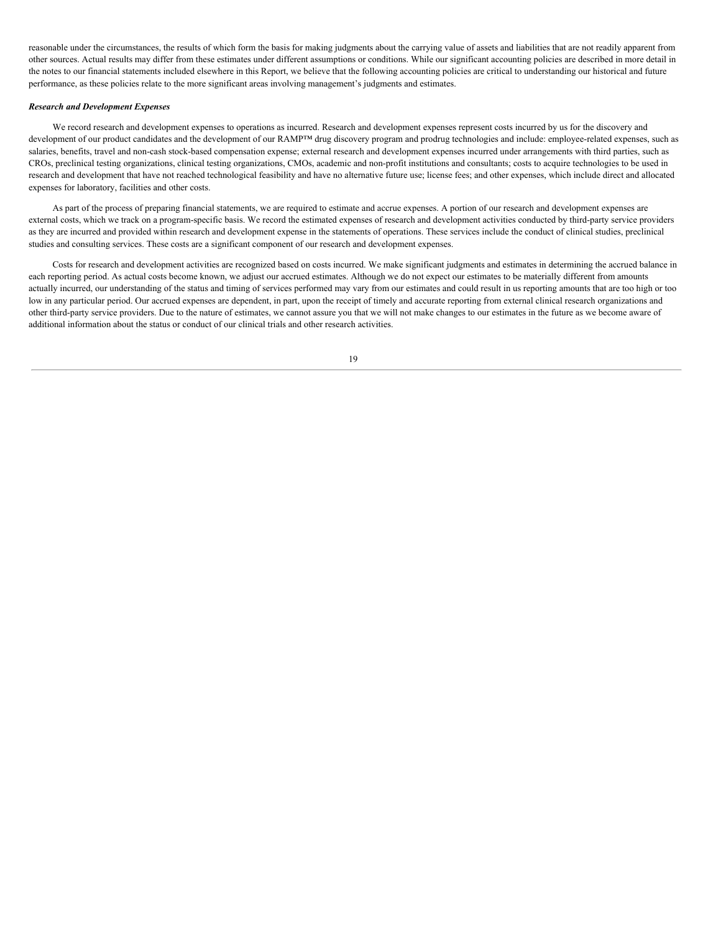reasonable under the circumstances, the results of which form the basis for making judgments about the carrying value of assets and liabilities that are not readily apparent from other sources. Actual results may differ from these estimates under different assumptions or conditions. While our significant accounting policies are described in more detail in the notes to our financial statements included elsewhere in this Report, we believe that the following accounting policies are critical to understanding our historical and future performance, as these policies relate to the more significant areas involving management's judgments and estimates.

## *Research and Development Expenses*

We record research and development expenses to operations as incurred. Research and development expenses represent costs incurred by us for the discovery and development of our product candidates and the development of our RAMP™ drug discovery program and prodrug technologies and include: employee-related expenses, such as salaries, benefits, travel and non-cash stock-based compensation expense; external research and development expenses incurred under arrangements with third parties, such as CROs, preclinical testing organizations, clinical testing organizations, CMOs, academic and non-profit institutions and consultants; costs to acquire technologies to be used in research and development that have not reached technological feasibility and have no alternative future use; license fees; and other expenses, which include direct and allocated expenses for laboratory, facilities and other costs.

As part of the process of preparing financial statements, we are required to estimate and accrue expenses. A portion of our research and development expenses are external costs, which we track on a program-specific basis. We record the estimated expenses of research and development activities conducted by third-party service providers as they are incurred and provided within research and development expense in the statements of operations. These services include the conduct of clinical studies, preclinical studies and consulting services. These costs are a significant component of our research and development expenses.

Costs for research and development activities are recognized based on costs incurred. We make significant judgments and estimates in determining the accrued balance in each reporting period. As actual costs become known, we adjust our accrued estimates. Although we do not expect our estimates to be materially different from amounts actually incurred, our understanding of the status and timing of services performed may vary from our estimates and could result in us reporting amounts that are too high or too low in any particular period. Our accrued expenses are dependent, in part, upon the receipt of timely and accurate reporting from external clinical research organizations and other third-party service providers. Due to the nature of estimates, we cannot assure you that we will not make changes to our estimates in the future as we become aware of additional information about the status or conduct of our clinical trials and other research activities.

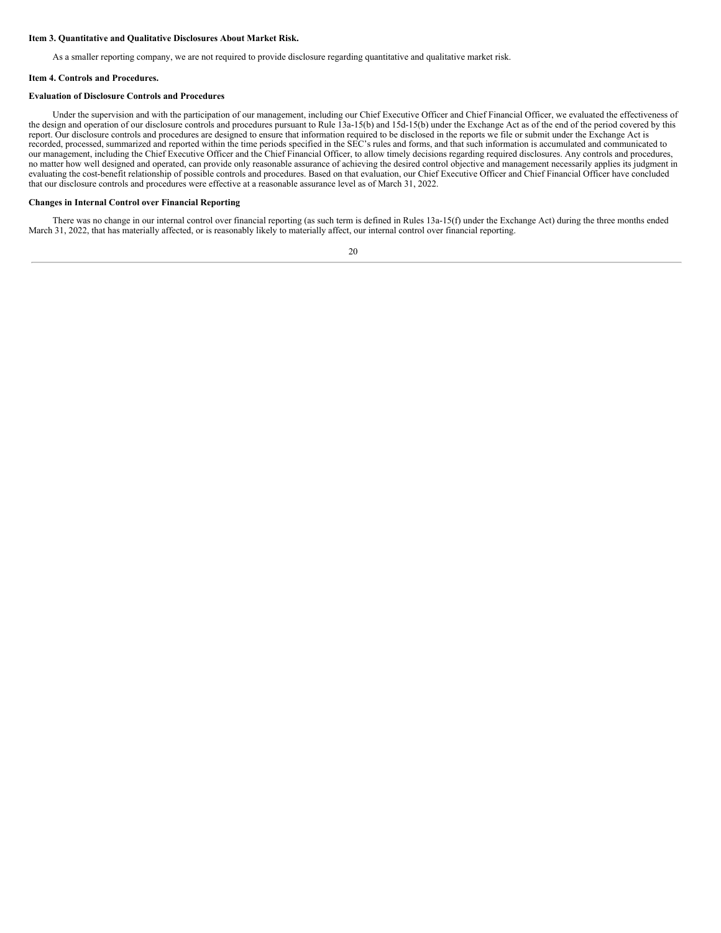## <span id="page-21-0"></span>**Item 3. Quantitative and Qualitative Disclosures About Market Risk.**

As a smaller reporting company, we are not required to provide disclosure regarding quantitative and qualitative market risk.

#### <span id="page-21-1"></span>**Item 4. Controls and Procedures.**

## **Evaluation of Disclosure Controls and Procedures**

Under the supervision and with the participation of our management, including our Chief Executive Officer and Chief Financial Officer, we evaluated the effectiveness of the design and operation of our disclosure controls and procedures pursuant to Rule 13a-15(b) and 15d-15(b) under the Exchange Act as of the end of the period covered by this report. Our disclosure controls and procedures are designed to ensure that information required to be disclosed in the reports we file or submit under the Exchange Act is recorded, processed, summarized and reported within the time periods specified in the SEC's rules and forms, and that such information is accumulated and communicated to our management, including the Chief Executive Officer and the Chief Financial Officer, to allow timely decisions regarding required disclosures. Any controls and procedures, no matter how well designed and operated, can provide only reasonable assurance of achieving the desired control objective and management necessarily applies its judgment in evaluating the cost-benefit relationship of possible controls and procedures. Based on that evaluation, our Chief Executive Officer and Chief Financial Officer have concluded that our disclosure controls and procedures were effective at a reasonable assurance level as of March 31, 2022.

## **Changes in Internal Control over Financial Reporting**

There was no change in our internal control over financial reporting (as such term is defined in Rules 13a-15(f) under the Exchange Act) during the three months ended March 31, 2022, that has materially affected, or is reasonably likely to materially affect, our internal control over financial reporting.

| I |
|---|
|   |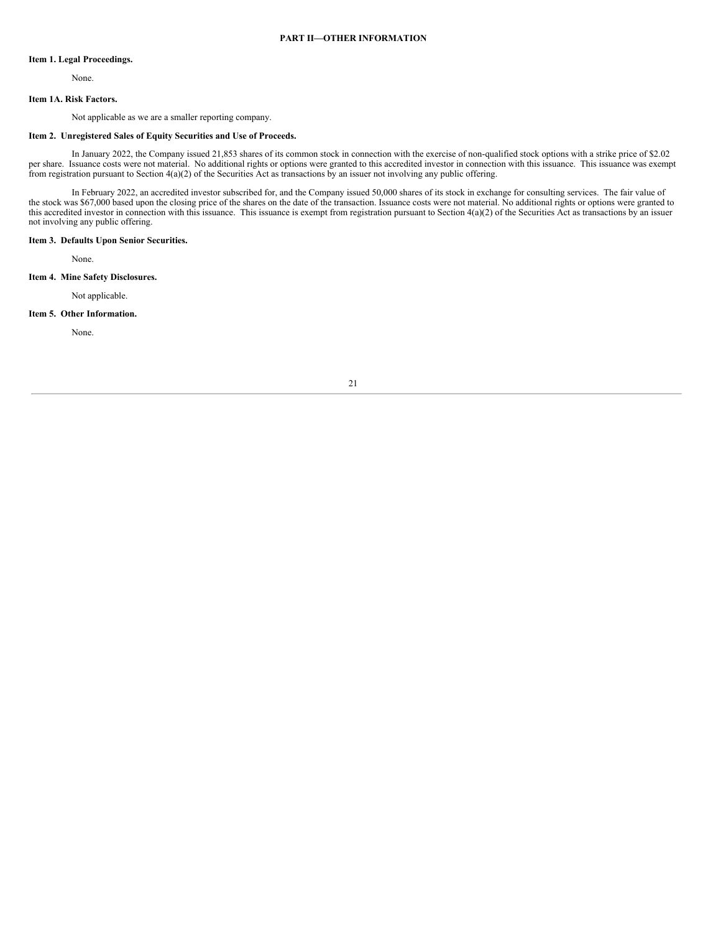## <span id="page-22-1"></span><span id="page-22-0"></span>**Item 1. Legal Proceedings.**

None.

#### <span id="page-22-2"></span>**Item 1A. Risk Factors.**

Not applicable as we are a smaller reporting company.

## <span id="page-22-3"></span>**Item 2. Unregistered Sales of Equity Securities and Use of Proceeds.**

In January 2022, the Company issued 21,853 shares of its common stock in connection with the exercise of non-qualified stock options with a strike price of \$2.02 per share. Issuance costs were not material. No additional rights or options were granted to this accredited investor in connection with this issuance. This issuance was exempt from registration pursuant to Section 4(a)(2) of the Securities Act as transactions by an issuer not involving any public offering.

In February 2022, an accredited investor subscribed for, and the Company issued 50,000 shares of its stock in exchange for consulting services. The fair value of the stock was \$67,000 based upon the closing price of the shares on the date of the transaction. Issuance costs were not material. No additional rights or options were granted to this accredited investor in connection with this issuance. This issuance is exempt from registration pursuant to Section 4(a)(2) of the Securities Act as transactions by an issuer not involving any public offering.

## <span id="page-22-4"></span>**Item 3. Defaults Upon Senior Securities.**

None.

## <span id="page-22-5"></span>**Item 4. Mine Safety Disclosures.**

Not applicable.

## <span id="page-22-6"></span>**Item 5. Other Information.**

None.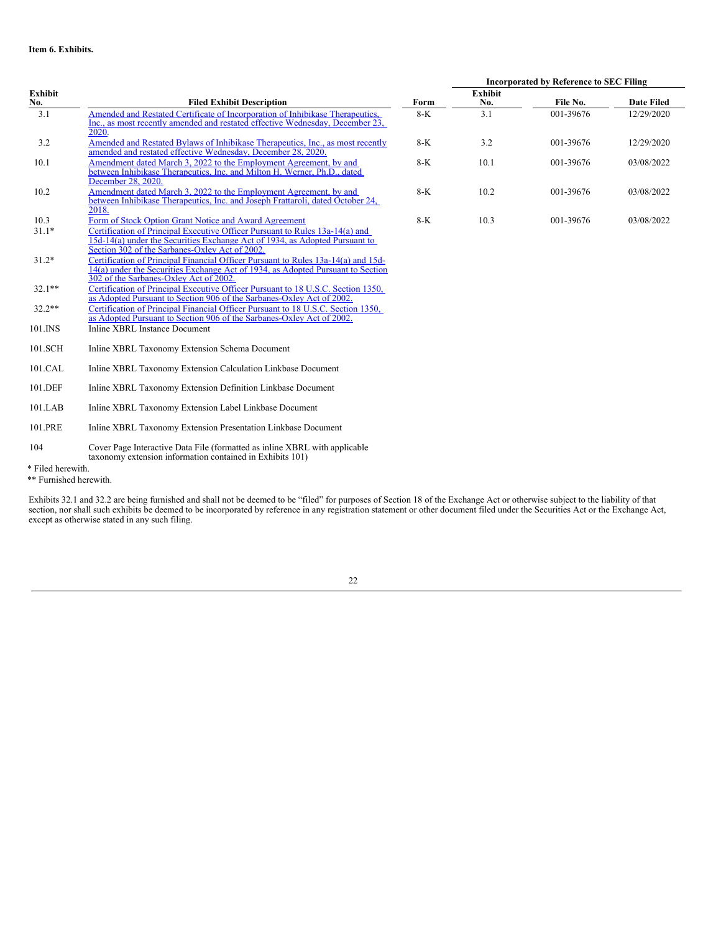<span id="page-23-0"></span>

|                   |                                                                                                                                                                                                                |       | <b>Incorporated by Reference to SEC Filing</b> |           |                   |
|-------------------|----------------------------------------------------------------------------------------------------------------------------------------------------------------------------------------------------------------|-------|------------------------------------------------|-----------|-------------------|
| <b>Exhibit</b>    |                                                                                                                                                                                                                |       | <b>Exhibit</b>                                 |           |                   |
| No.               | <b>Filed Exhibit Description</b>                                                                                                                                                                               | Form  | No.                                            | File No.  | <b>Date Filed</b> |
| 3.1               | Amended and Restated Certificate of Incorporation of Inhibikase Therapeutics,<br>Inc., as most recently amended and restated effective Wednesday, December 23.<br>2020.                                        | $8-K$ | 3.1                                            | 001-39676 | 12/29/2020        |
| 3.2               | Amended and Restated Bylaws of Inhibikase Therapeutics, Inc., as most recently<br>amended and restated effective Wednesday, December 28, 2020.                                                                 | $8-K$ | 3.2                                            | 001-39676 | 12/29/2020        |
| 10.1              | Amendment dated March 3, 2022 to the Employment Agreement, by and<br>between Inhibikase Therapeutics, Inc. and Milton H. Werner, Ph.D., dated<br>December 28, 2020.                                            | $8-K$ | 10.1                                           | 001-39676 | 03/08/2022        |
| 10.2              | Amendment dated March 3, 2022 to the Employment Agreement, by and<br>between Inhibikase Therapeutics, Inc. and Joseph Frattaroli, dated October 24,<br>2018.                                                   | 8-K   | 10.2                                           | 001-39676 | 03/08/2022        |
| 10.3              | Form of Stock Option Grant Notice and Award Agreement                                                                                                                                                          | $8-K$ | 10.3                                           | 001-39676 | 03/08/2022        |
| $31.1*$           | Certification of Principal Executive Officer Pursuant to Rules 13a-14(a) and<br>15d-14(a) under the Securities Exchange Act of 1934, as Adopted Pursuant to<br>Section 302 of the Sarbanes-Oxley Act of 2002.  |       |                                                |           |                   |
| $31.2*$           | Certification of Principal Financial Officer Pursuant to Rules 13a-14(a) and 15d-<br>14(a) under the Securities Exchange Act of 1934, as Adopted Pursuant to Section<br>302 of the Sarbanes-Oxley Act of 2002. |       |                                                |           |                   |
| $32.1**$          | Certification of Principal Executive Officer Pursuant to 18 U.S.C. Section 1350,<br>as Adopted Pursuant to Section 906 of the Sarbanes-Oxley Act of 2002.                                                      |       |                                                |           |                   |
| $32.2**$          | Certification of Principal Financial Officer Pursuant to 18 U.S.C. Section 1350,<br>as Adopted Pursuant to Section 906 of the Sarbanes-Oxley Act of 2002.                                                      |       |                                                |           |                   |
| 101.INS           | <b>Inline XBRL Instance Document</b>                                                                                                                                                                           |       |                                                |           |                   |
| 101.SCH           | Inline XBRL Taxonomy Extension Schema Document                                                                                                                                                                 |       |                                                |           |                   |
| 101.CAL           | Inline XBRL Taxonomy Extension Calculation Linkbase Document                                                                                                                                                   |       |                                                |           |                   |
| 101.DEF           | Inline XBRL Taxonomy Extension Definition Linkbase Document                                                                                                                                                    |       |                                                |           |                   |
| 101.LAB           | Inline XBRL Taxonomy Extension Label Linkbase Document                                                                                                                                                         |       |                                                |           |                   |
| 101.PRE           | Inline XBRL Taxonomy Extension Presentation Linkbase Document                                                                                                                                                  |       |                                                |           |                   |
| 104               | Cover Page Interactive Data File (formatted as inline XBRL with applicable<br>taxonomy extension information contained in Exhibits 101)                                                                        |       |                                                |           |                   |
| * Filed herewith. |                                                                                                                                                                                                                |       |                                                |           |                   |

\*\* Furnished herewith.

Exhibits 32.1 and 32.2 are being furnished and shall not be deemed to be "filed" for purposes of Section 18 of the Exchange Act or otherwise subject to the liability of that section, nor shall such exhibits be deemed to be incorporated by reference in any registration statement or other document filed under the Securities Act or the Exchange Act, except as otherwise stated in any such filing.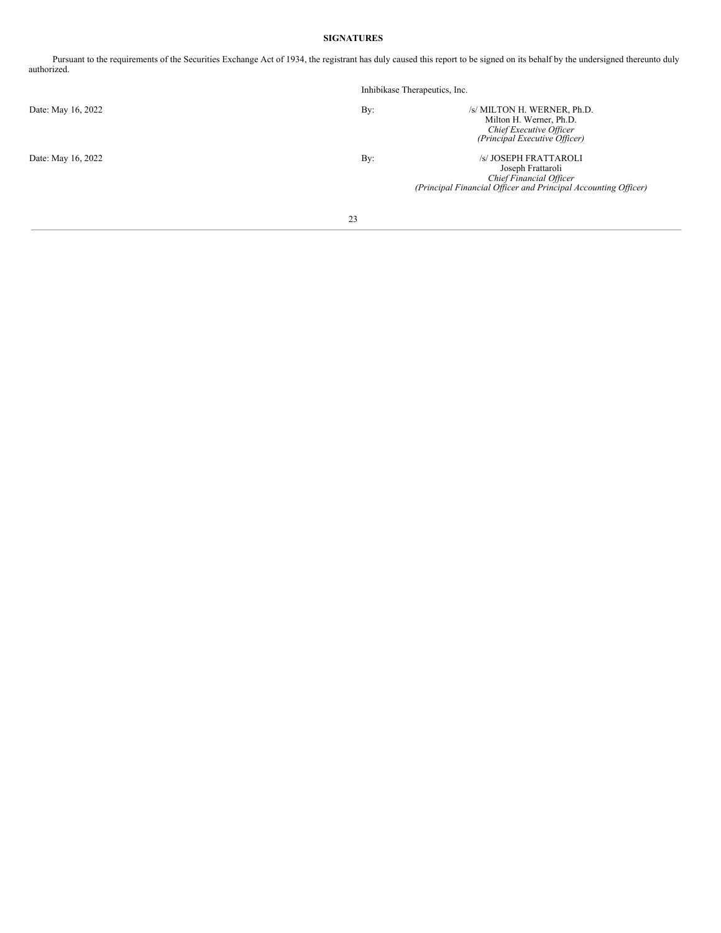# **SIGNATURES**

<span id="page-24-0"></span>Pursuant to the requirements of the Securities Exchange Act of 1934, the registrant has duly caused this report to be signed on its behalf by the undersigned thereunto duly authorized.

|                    | Inhibikase Therapeutics, Inc. |                                                                                                                                         |  |
|--------------------|-------------------------------|-----------------------------------------------------------------------------------------------------------------------------------------|--|
| Date: May 16, 2022 | By:                           | /s/ MILTON H. WERNER, Ph.D.<br>Milton H. Werner, Ph.D.<br>Chief Executive Officer<br>(Principal Executive Officer)                      |  |
| Date: May 16, 2022 | By:                           | /s/ JOSEPH FRATTAROLI<br>Joseph Frattaroli<br>Chief Financial Officer<br>(Principal Financial Officer and Principal Accounting Officer) |  |
| 23                 |                               |                                                                                                                                         |  |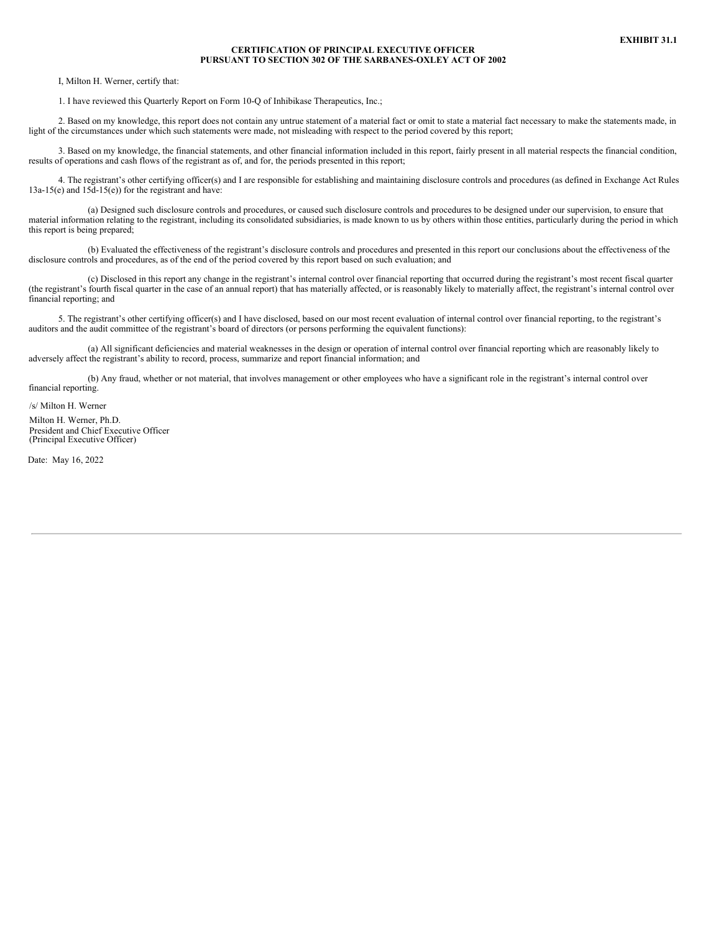## **CERTIFICATION OF PRINCIPAL EXECUTIVE OFFICER PURSUANT TO SECTION 302 OF THE SARBANES-OXLEY ACT OF 2002**

<span id="page-26-0"></span>I, Milton H. Werner, certify that:

1. I have reviewed this Quarterly Report on Form 10-Q of Inhibikase Therapeutics, Inc.;

2. Based on my knowledge, this report does not contain any untrue statement of a material fact or omit to state a material fact necessary to make the statements made, in light of the circumstances under which such statements were made, not misleading with respect to the period covered by this report;

3. Based on my knowledge, the financial statements, and other financial information included in this report, fairly present in all material respects the financial condition, results of operations and cash flows of the registrant as of, and for, the periods presented in this report;

4. The registrant's other certifying officer(s) and I are responsible for establishing and maintaining disclosure controls and procedures (as defined in Exchange Act Rules 13a-15(e) and 15d-15(e)) for the registrant and have:

(a) Designed such disclosure controls and procedures, or caused such disclosure controls and procedures to be designed under our supervision, to ensure that material information relating to the registrant, including its consolidated subsidiaries, is made known to us by others within those entities, particularly during the period in which this report is being prepared;

(b) Evaluated the effectiveness of the registrant's disclosure controls and procedures and presented in this report our conclusions about the effectiveness of the disclosure controls and procedures, as of the end of the period covered by this report based on such evaluation; and

(c) Disclosed in this report any change in the registrant's internal control over financial reporting that occurred during the registrant's most recent fiscal quarter (the registrant's fourth fiscal quarter in the case of an annual report) that has materially affected, or is reasonably likely to materially affect, the registrant's internal control over financial reporting; and

5. The registrant's other certifying officer(s) and I have disclosed, based on our most recent evaluation of internal control over financial reporting, to the registrant's auditors and the audit committee of the registrant's board of directors (or persons performing the equivalent functions):

(a) All significant deficiencies and material weaknesses in the design or operation of internal control over financial reporting which are reasonably likely to adversely affect the registrant's ability to record, process, summarize and report financial information; and

(b) Any fraud, whether or not material, that involves management or other employees who have a significant role in the registrant's internal control over financial reporting.

/s/ Milton H. Werner Milton H. Werner, Ph.D. President and Chief Executive Officer (Principal Executive Officer)

Date: May 16, 2022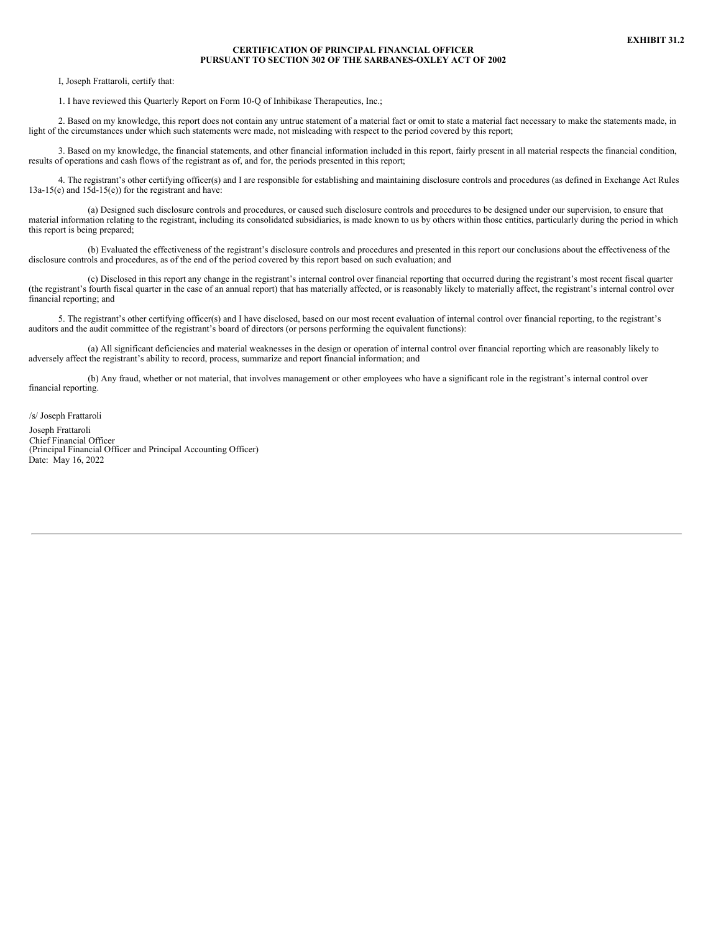## **CERTIFICATION OF PRINCIPAL FINANCIAL OFFICER PURSUANT TO SECTION 302 OF THE SARBANES-OXLEY ACT OF 2002**

<span id="page-28-0"></span>I, Joseph Frattaroli, certify that:

1. I have reviewed this Quarterly Report on Form 10-Q of Inhibikase Therapeutics, Inc.;

2. Based on my knowledge, this report does not contain any untrue statement of a material fact or omit to state a material fact necessary to make the statements made, in light of the circumstances under which such statements were made, not misleading with respect to the period covered by this report;

3. Based on my knowledge, the financial statements, and other financial information included in this report, fairly present in all material respects the financial condition, results of operations and cash flows of the registrant as of, and for, the periods presented in this report;

4. The registrant's other certifying officer(s) and I are responsible for establishing and maintaining disclosure controls and procedures (as defined in Exchange Act Rules 13a-15(e) and 15d-15(e)) for the registrant and have:

(a) Designed such disclosure controls and procedures, or caused such disclosure controls and procedures to be designed under our supervision, to ensure that material information relating to the registrant, including its consolidated subsidiaries, is made known to us by others within those entities, particularly during the period in which this report is being prepared;

(b) Evaluated the effectiveness of the registrant's disclosure controls and procedures and presented in this report our conclusions about the effectiveness of the disclosure controls and procedures, as of the end of the period covered by this report based on such evaluation; and

(c) Disclosed in this report any change in the registrant's internal control over financial reporting that occurred during the registrant's most recent fiscal quarter (the registrant's fourth fiscal quarter in the case of an annual report) that has materially affected, or is reasonably likely to materially affect, the registrant's internal control over financial reporting; and

5. The registrant's other certifying officer(s) and I have disclosed, based on our most recent evaluation of internal control over financial reporting, to the registrant's auditors and the audit committee of the registrant's board of directors (or persons performing the equivalent functions):

(a) All significant deficiencies and material weaknesses in the design or operation of internal control over financial reporting which are reasonably likely to adversely affect the registrant's ability to record, process, summarize and report financial information; and

(b) Any fraud, whether or not material, that involves management or other employees who have a significant role in the registrant's internal control over financial reporting.

/s/ Joseph Frattaroli Joseph Frattaroli Chief Financial Officer (Principal Financial Officer and Principal Accounting Officer) Date: May 16, 2022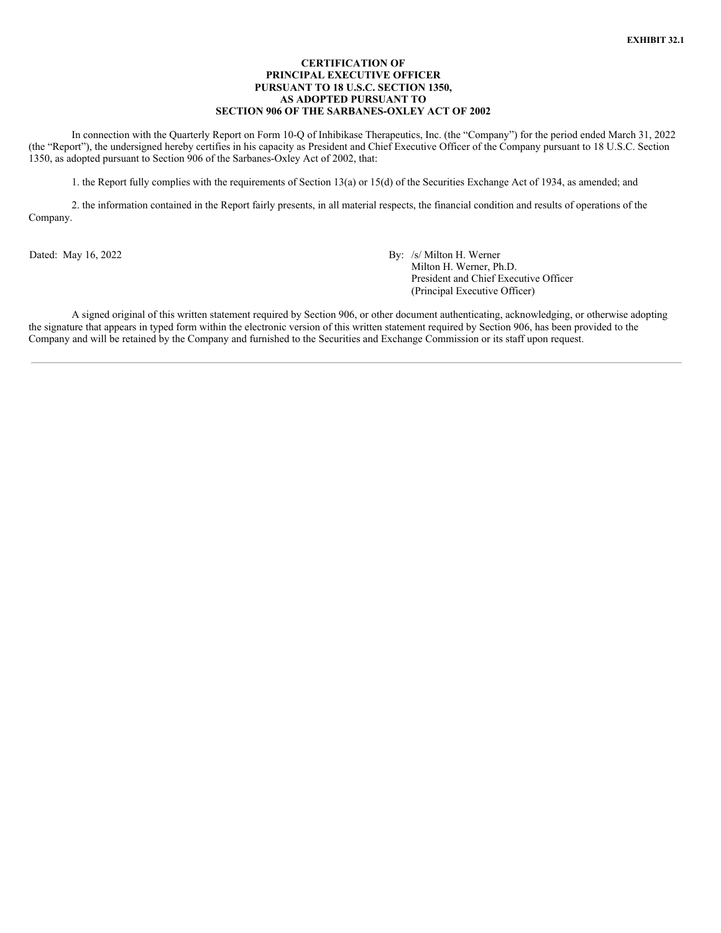## **CERTIFICATION OF PRINCIPAL EXECUTIVE OFFICER PURSUANT TO 18 U.S.C. SECTION 1350, AS ADOPTED PURSUANT TO SECTION 906 OF THE SARBANES-OXLEY ACT OF 2002**

<span id="page-30-0"></span>In connection with the Quarterly Report on Form 10-Q of Inhibikase Therapeutics, Inc. (the "Company") for the period ended March 31, 2022 (the "Report"), the undersigned hereby certifies in his capacity as President and Chief Executive Officer of the Company pursuant to 18 U.S.C. Section 1350, as adopted pursuant to Section 906 of the Sarbanes-Oxley Act of 2002, that:

1. the Report fully complies with the requirements of Section 13(a) or 15(d) of the Securities Exchange Act of 1934, as amended; and

2. the information contained in the Report fairly presents, in all material respects, the financial condition and results of operations of the Company.

Dated: May 16, 2022 By: /s/ Milton H. Werner Milton H. Werner, Ph.D. President and Chief Executive Officer (Principal Executive Officer)

A signed original of this written statement required by Section 906, or other document authenticating, acknowledging, or otherwise adopting the signature that appears in typed form within the electronic version of this written statement required by Section 906, has been provided to the Company and will be retained by the Company and furnished to the Securities and Exchange Commission or its staff upon request.